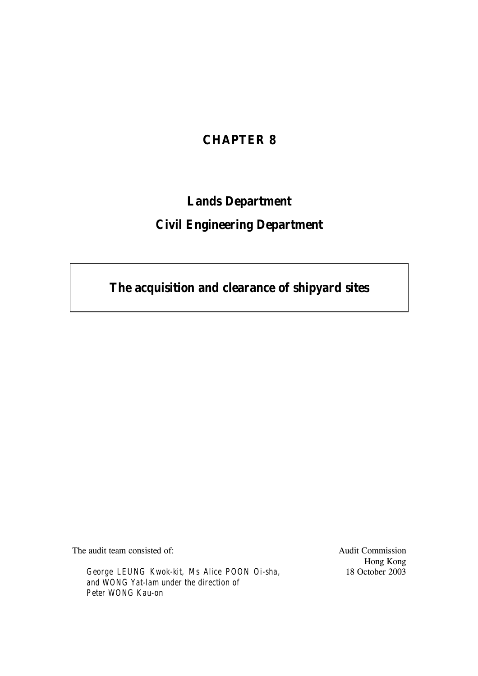# **CHAPTER 8**

# **Lands Department**

# **Civil Engineering Department**

**The acquisition and clearance of shipyard sites**

The audit team consisted of:

*George LEUNG Kwok-kit, Ms Alice POON Oi-sha, and WONG Yat-lam under the direction of Peter WONG Kau-on*

Audit Commission Hong Kong 18 October 2003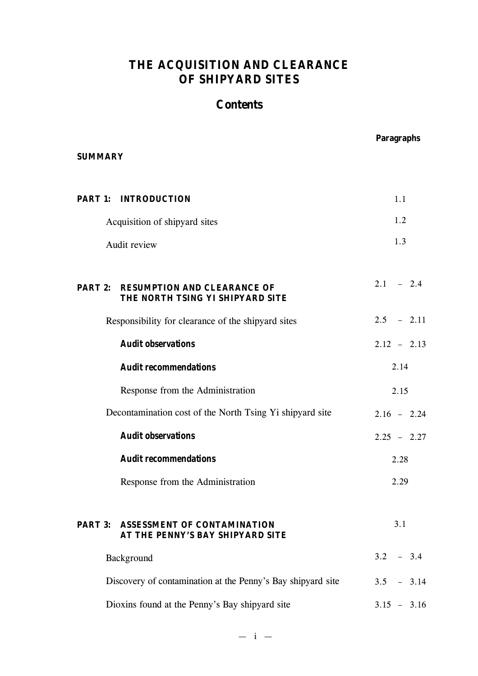# **THE ACQUISITION AND CLEARANCE OF SHIPYARD SITES**

# **Contents**

| <b>SUMMARY</b> |                                                                                | <b>Paragraphs</b> |
|----------------|--------------------------------------------------------------------------------|-------------------|
|                | <b>PART 1: INTRODUCTION</b>                                                    | 1.1               |
|                | Acquisition of shipyard sites                                                  | 1.2               |
|                | Audit review                                                                   | 1.3               |
|                | <b>PART 2: RESUMPTION AND CLEARANCE OF</b><br>THE NORTH TSING YI SHIPYARD SITE | $2.1 - 2.4$       |
|                | Responsibility for clearance of the shipyard sites                             | $2.5 - 2.11$      |
|                | <b>Audit observations</b>                                                      | $2.12 - 2.13$     |
|                | <b>Audit recommendations</b>                                                   | 2.14              |
|                | Response from the Administration                                               | 2.15              |
|                | Decontamination cost of the North Tsing Yi shipyard site                       | $2.16 - 2.24$     |
|                | <b>Audit observations</b>                                                      | $2.25 - 2.27$     |
|                | <b>Audit recommendations</b>                                                   | 2.28              |
|                | Response from the Administration                                               | 2.29              |
|                | <b>PART 3: ASSESSMENT OF CONTAMINATION</b><br>AT THE PENNY'S BAY SHIPYARD SITE | 3.1               |
|                | Background                                                                     | $3.2 - 3.4$       |
|                | Discovery of contamination at the Penny's Bay shipyard site                    | $3.5 - 3.14$      |
|                | Dioxins found at the Penny's Bay shipyard site                                 | $3.15 - 3.16$     |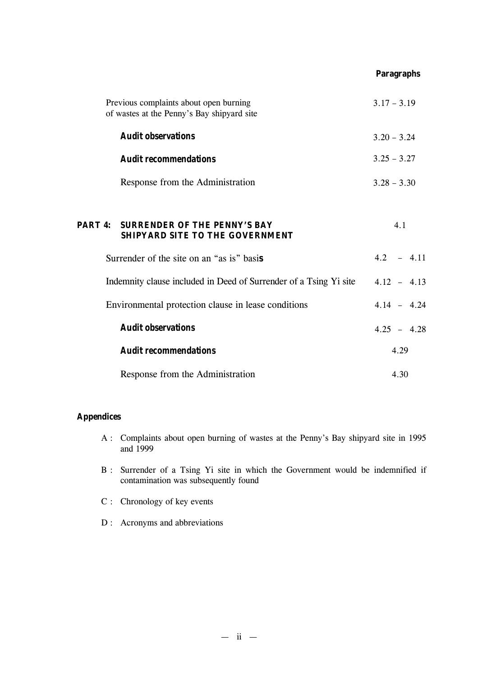|         |                                                                                      | <b>Paragraphs</b> |
|---------|--------------------------------------------------------------------------------------|-------------------|
|         | Previous complaints about open burning<br>of wastes at the Penny's Bay shipyard site | $3.17 - 3.19$     |
|         | <b>Audit observations</b>                                                            | $3.20 - 3.24$     |
|         | <b>Audit recommendations</b>                                                         | $3.25 - 3.27$     |
|         | Response from the Administration                                                     | $3.28 - 3.30$     |
| PART 4: | <b>SURRENDER OF THE PENNY'S BAY</b>                                                  | 4.1               |
|         | <b>SHIPYARD SITE TO THE GOVERNMENT</b>                                               |                   |

| Response from the Administration                                  | 4.30          |
|-------------------------------------------------------------------|---------------|
| <b>Audit recommendations</b>                                      | 4.29          |
| <b>Audit observations</b>                                         | $4.25 - 4.28$ |
| Environmental protection clause in lease conditions               | $4.14 - 4.24$ |
| Indemnity clause included in Deed of Surrender of a Tsing Yi site | $4.12 - 4.13$ |
| Surrender of the site on an "as is" basis                         | $4.2 - 4.11$  |

# **Appendices**

- A : Complaints about open burning of wastes at the Penny's Bay shipyard site in 1995 and 1999
- B : Surrender of a Tsing Yi site in which the Government would be indemnified if contamination was subsequently found
- C : Chronology of key events
- D : Acronyms and abbreviations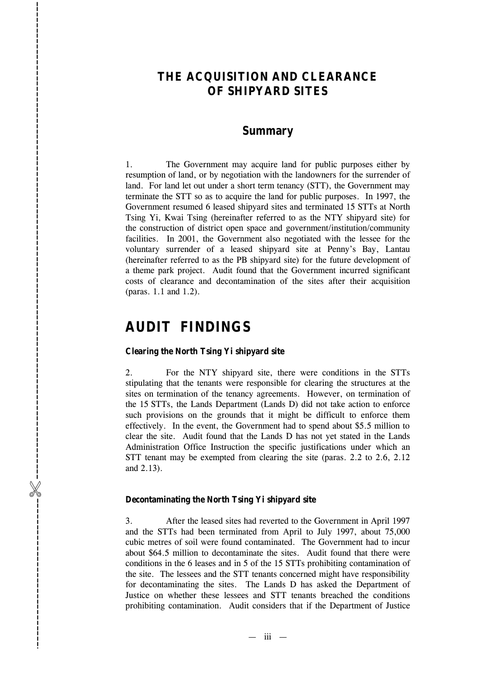# **THE ACQUISITION AND CLEARANCE OF SHIPYARD SITES**

# **Summary**

1. The Government may acquire land for public purposes either by resumption of land, or by negotiation with the landowners for the surrender of land. For land let out under a short term tenancy (STT), the Government may terminate the STT so as to acquire the land for public purposes. In 1997, the Government resumed 6 leased shipyard sites and terminated 15 STTs at North Tsing Yi, Kwai Tsing (hereinafter referred to as the NTY shipyard site) for the construction of district open space and government/institution/community facilities. In 2001, the Government also negotiated with the lessee for the voluntary surrender of a leased shipyard site at Penny 's Bay, Lantau (hereinafter referred to as the PB shipyard site) for the future development of a theme park project. Audit found that the Government incurred significant costs of clearance and decontamination of the sites after their acquisition (paras. 1.1 and 1.2).

# **AUDIT FINDINGS**

%------------------------------------------------------------------------------------------

-----------------------------

#### **Clearing the North Tsing Yi shipyard site**

2. For the NTY shipyard site, there were conditions in the STTs stipulating that the tenants were responsible for clearing the structures at the sites on termination of the tenancy agreements. However, on termination of the 15 STTs, the Lands Department (Lands D) did not take action to enforce such provisions on the grounds that it might be difficult to enforce them effectively. In the event, the Government had to spend about \$5.5 million to clear the site. Audit found that the Lands D has not yet stated in the Lands Administration Office Instruction the specific justifications under which an STT tenant may be exempted from clearing the site (paras. 2.2 to 2.6, 2.12 and 2.13).

#### **Decontaminating the North Tsing Yi shipyard site**

3. After the leased sites had reverted to the Government in April 1997 and the STTs had been terminated from April to July 1997, about 75,000 cubic metres of soil were found contaminated. The Government had to incur about \$64.5 million to decontaminate the sites. Audit found that there were conditions in the 6 leases and in 5 of the 15 STTs prohibiting contamination of the site. The lessees and the STT tenants concerned might have responsibility for decontaminating the sites. The Lands D has asked the Department of Justice on whether these lessees and STT tenants breached the conditions prohibiting contamination. Audit considers that if the Department of Justice

— iii —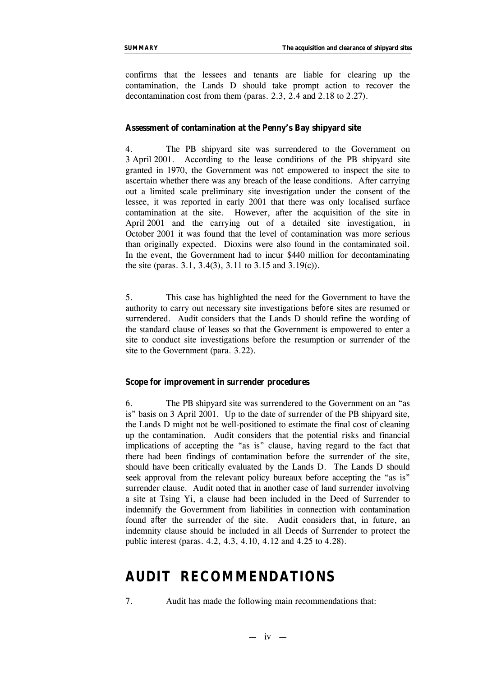confirms that the lessees and tenants are liable for clearing up the contamination, the Lands D should take prompt action to recover the decontamination cost from them (paras. 2.3, 2.4 and 2.18 to 2.27).

#### **Assessment of contamination at the Penny's Bay shipyard site**

4. The PB shipyard site was surrendered to the Government on 3 April 2001. According to the lease conditions of the PB shipyard site granted in 1970, the Government was *not* empowered to inspect the site to ascertain whether there was any breach of the lease conditions. After carrying out a limited scale preliminary site investigation under the consent of the lessee, it was reported in early 2001 that there was only localised surface contamination at the site. However, after the acquisition of the site in April 2001 and the carrying out of a detailed site investigation, in October 2001 it was found that the level of contamination was more serious than originally expected. Dioxins were also found in the contaminated soil. In the event, the Government had to incur \$440 million for decontaminating the site (paras. 3.1, 3.4(3), 3.11 to 3.15 and 3.19(c)).

5. This case has highlighted the need for the Government to have the authority to carry out necessary site investigations *before* sites are resumed or surrendered. Audit considers that the Lands D should refine the wording of the standard clause of leases so that the Government is empowered to enter a site to conduct site investigations before the resumption or surrender of the site to the Government (para. 3.22).

#### **Scope for improvement in surrender procedures**

6. The PB shipyard site was surrendered to the Government on an "as is" basis on 3 April 2001. Up to the date of surrender of the PB shipyard site, the Lands D might not be well-positioned to estimate the final cost of cleaning up the contamination. Audit considers that the potential risks and financial implications of accepting the "as is" clause, having regard to the fact that there had been findings of contamination before the surrender of the site, should have been critically evaluated by the Lands D. The Lands D should seek approval from the relevant policy bureaux before accepting the "as is" surrender clause. Audit noted that in another case of land surrender involving a site at Tsing Yi, a clause had been included in the Deed of Surrender to indemnify the Government from liabilities in connection with contamination found *after* the surrender of the site. Audit considers that, in future, an indemnity clause should be included in all Deeds of Surrender to protect the public interest (paras. 4.2, 4.3, 4.10, 4.12 and 4.25 to 4.28).

# **AUDIT RECOMMENDATIONS**

7. Audit has made the following main recommendations that:

 $-$  iv  $-$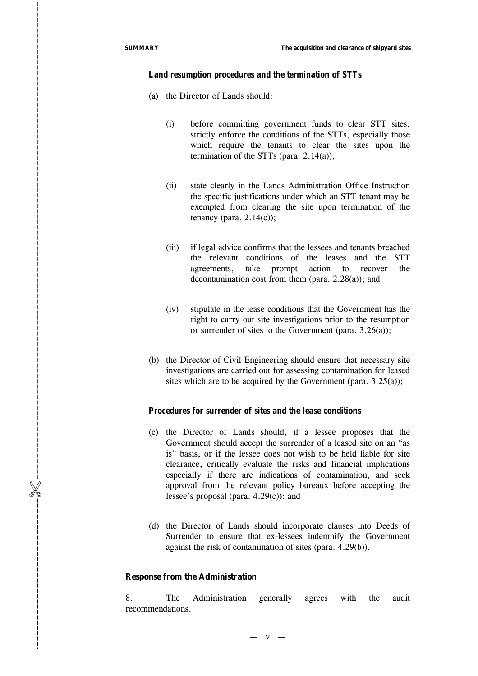%------------------------------------------------------------------------------------------

-----------------------------

I

#### *Land resumption procedures and the termination of STTs*

- (a) the Director of Lands should:
	- (i) before committing government funds to clear STT sites, strictly enforce the conditions of the STTs, especially those which require the tenants to clear the sites upon the termination of the STTs (para.  $2.14(a)$ );
	- (ii) state clearly in the Lands Administration Office Instruction the specific justifications under which an STT tenant may be exempted from clearing the site upon termination of the tenancy (para.  $2.14(c)$ );
	- (iii) if legal advice confirms that the lessees and tenants breached the relevant conditions of the leases and the STT agreements, take prompt action to recover the decontamination cost from them (para. 2.28(a)); and
	- (iv) stipulate in the lease conditions that the Government has the right to carry out site investigations prior to the resumption or surrender of sites to the Government (para. 3.26(a));
- (b) the Director of Civil Engineering should ensure that necessary site investigations are carried out for assessing contamination for leased sites which are to be acquired by the Government (para.  $3.25(a)$ );

## *Procedures for surrender of sites and the lease conditions*

- (c) the Director of Lands should, if a lessee proposes that the Government should accept the surrender of a leased site on an "as is" basis, or if the lessee does not wish to be held liable for site clearance, critically evaluate the risks and financial implications especially if there are indications of contamination, and seek approval from the relevant policy bureaux before accepting the lessee 's proposal (para. 4.29(c)); and
- (d) the Director of Lands should incorporate clauses into Deeds of Surrender to ensure that ex-lessees indemnify the Government against the risk of contamination of sites (para. 4.29(b)).

#### **Response from the Administration**

8. The Administration generally agrees with the audit recommendations.

 $\overline{\mathbf{V}}$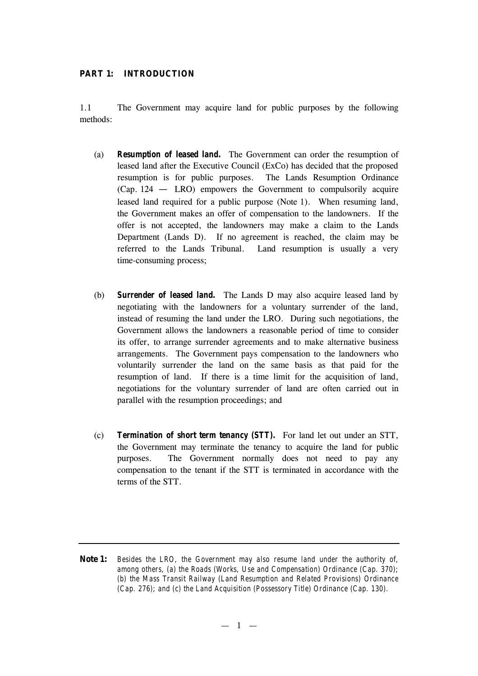#### **PART 1: INTRODUCTION**

1.1 The Government may acquire land for public purposes by the following methods:

- (a) *Resumption of leased land***.** The Government can order the resumption of leased land after the Executive Council (ExCo) has decided that the proposed resumption is for public purposes. The Lands Resumption Ordinance (Cap. 124 — LRO) empowers the Government to compulsorily acquire leased land required for a public purpose (Note 1). When resuming land, the Government makes an offer of compensation to the landowners. If the offer is not accepted, the landowners may make a claim to the Lands Department (Lands D). If no agreement is reached, the claim may be referred to the Lands Tribunal. Land resumption is usually a very time-consuming process;
- (b) *Surrender of leased land.* The Lands D may also acquire leased land by negotiating with the landowners for a voluntary surrender of the land, instead of resuming the land under the LRO. During such negotiations, the Government allows the landowners a reasonable period of time to consider its offer, to arrange surrender agreements and to make alternative business arrangements. The Government pays compensation to the landowners who voluntarily surrender the land on the same basis as that paid for the resumption of land. If there is a time limit for the acquisition of land, negotiations for the voluntary surrender of land are often carried out in parallel with the resumption proceedings; and
- (c) *Termination of short term tenancy (STT).* For land let out under an STT, the Government may terminate the tenancy to acquire the land for public purposes. The Government normally does not need to pay any compensation to the tenant if the STT is terminated in accordance with the terms of the STT.

**Note 1:** *Besides the LRO, the Government may also resume land under the authority of, among others, (a) the Roads (Works, Use and Compensation) Ordinance (Cap. 370); (b) the Mass Transit Railway (Land Resumption and Related Provisions) Ordinance (Cap. 276); and (c) the Land Acquisition (Possessory Title) Ordinance (Cap. 130).*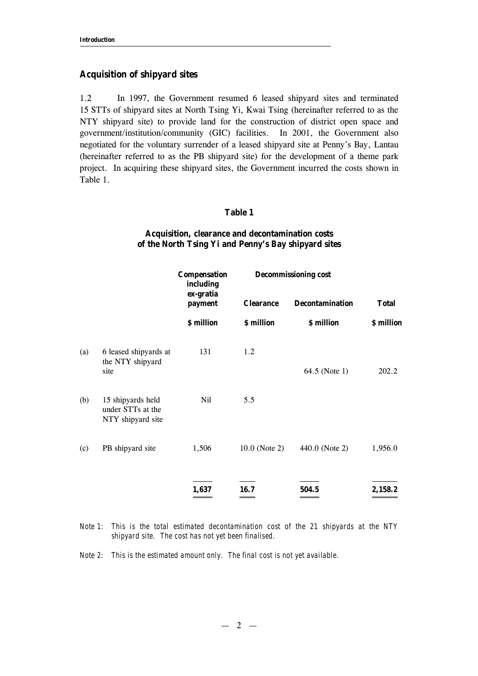## **Acquisition of shipyard sites**

1.2 In 1997, the Government resumed 6 leased shipyard sites and terminated 15 STTs of shipyard sites at North Tsing Yi, Kwai Tsing (hereinafter referred to as the NTY shipyard site) to provide land for the construction of district open space and government/institution/community (GIC) facilities. In 2001, the Government also negotiated for the voluntary surrender of a leased shipyard site at Penny's Bay, Lantau (hereinafter referred to as the PB shipyard site) for the development of a theme park project. In acquiring these shipyard sites, the Government incurred the costs shown in Table 1.

#### **Table 1**

# **Acquisition, clearance and decontamination costs of the North Tsing Yi and Penny's Bay shipyard sites**

|     |                                                             | <b>Compensation</b><br>including   |                  | <b>Decommissioning cost</b> |              |
|-----|-------------------------------------------------------------|------------------------------------|------------------|-----------------------------|--------------|
|     |                                                             | ex-gratia<br>payment<br>\$ million | <b>Clearance</b> | <b>Decontamination</b>      | <b>Total</b> |
|     |                                                             |                                    | \$ million       | \$ million                  | \$ million   |
| (a) | 6 leased shipyards at<br>the NTY shipyard<br>site           | 131                                | 1.2              | 64.5 (Note 1)               | 202.2        |
| (b) | 15 shipyards held<br>under STTs at the<br>NTY shipyard site | Nil                                | 5.5              |                             |              |
| (c) | PB shipyard site                                            | 1,506                              | $10.0$ (Note 2)  | 440.0 (Note 2)              | 1,956.0      |
|     |                                                             | 1,637                              | 16.7             | 504.5                       | 2,158.2      |

*Note 1: This is the total estimated decontamination cost of the 21 shipyards at the NTY shipyard site. The cost has not yet been finalised.*

*Note 2: This is the estimated amount only. The final cost is not yet available.*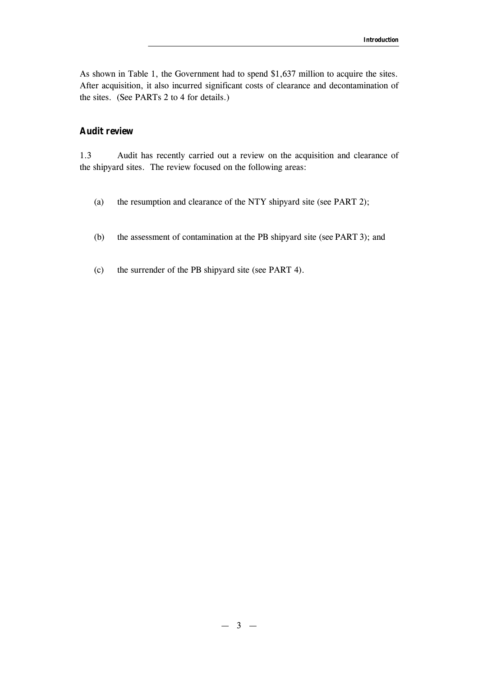As shown in Table 1, the Government had to spend \$1,637 million to acquire the sites. After acquisition, it also incurred significant costs of clearance and decontamination of the sites. (See PARTs 2 to 4 for details.)

# **Audit review**

1.3 Audit has recently carried out a review on the acquisition and clearance of the shipyard sites. The review focused on the following areas:

- (a) the resumption and clearance of the NTY shipyard site (see PART 2);
- (b) the assessment of contamination at the PB shipyard site (see PART 3); and
- (c) the surrender of the PB shipyard site (see PART 4).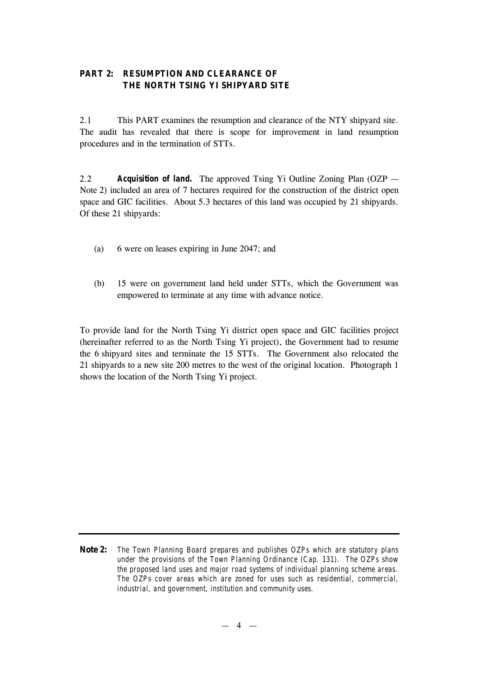# **PART 2: RESUMPTION AND CLEARANCE OF THE NORTH TSING YI SHIPYARD SITE**

2.1 This PART examines the resumption and clearance of the NTY shipyard site. The audit has revealed that there is scope for improvement in land resumption procedures and in the termination of STTs.

2.2 *Acquisition of land.* The approved Tsing Yi Outline Zoning Plan (OZP — Note 2) included an area of 7 hectares required for the construction of the district open space and GIC facilities. About 5.3 hectares of this land was occupied by 21 shipyards. Of these 21 shipyards:

- (a) 6 were on leases expiring in June 2047; and
- (b) 15 were on government land held under STTs, which the Government was empowered to terminate at any time with advance notice.

To provide land for the North Tsing Yi district open space and GIC facilities project (hereinafter referred to as the North Tsing Yi project), the Government had to resume the 6 shipyard sites and terminate the 15 STTs. The Government also relocated the 21 shipyards to a new site 200 metres to the west of the original location. Photograph 1 shows the location of the North Tsing Yi project.

**Note 2:** *The Town Planning Board prepares and publishes OZPs which are statutory plans under the provisions of the Town Planning Ordinance (Cap. 131). The OZPs show the proposed land uses and major road systems of individual planning scheme areas. The OZPs cover areas which are zoned for uses such as residential, commercial, industrial, and government, institution and community uses.*

 $-4 -$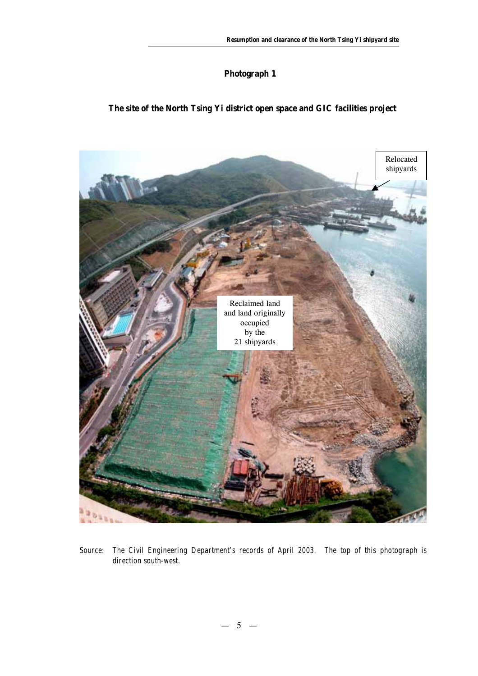# **Photograph 1**

# **The site of the North Tsing Yi district open space and GIC facilities project**



*Source: The Civil Engineering Department's records of April 2003. The top of this photograph is direction south-west.*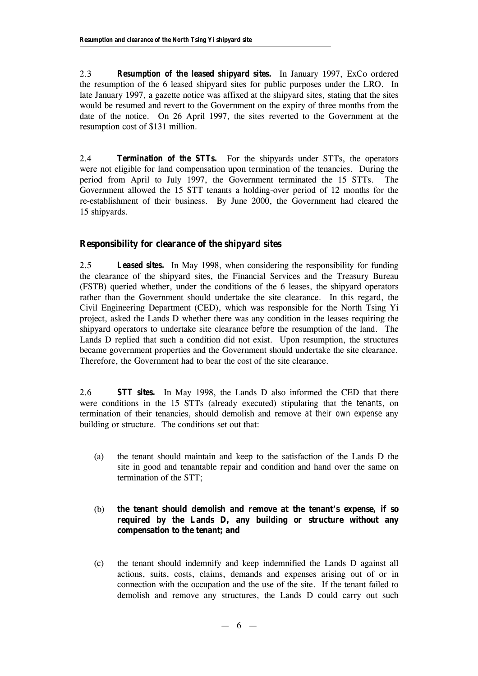2.3 *Resumption of the leased shipyard sites.* In January 1997, ExCo ordered the resumption of the 6 leased shipyard sites for public purposes under the LRO. In late January 1997, a gazette notice was affixed at the shipyard sites, stating that the sites would be resumed and revert to the Government on the expiry of three months from the date of the notice. On 26 April 1997, the sites reverted to the Government at the resumption cost of \$131 million.

2.4 *Termination of the STTs.* For the shipyards under STTs, the operators were not eligible for land compensation upon termination of the tenancies. During the period from April to July 1997, the Government terminated the 15 STTs. The Government allowed the 15 STT tenants a holding-over period of 12 months for the re-establishment of their business. By June 2000, the Government had cleared the 15 shipyards.

# **Responsibility for clearance of the shipyard sites**

2.5 *Leased sites.* In May 1998, when considering the responsibility for funding the clearance of the shipyard sites, the Financial Services and the Treasury Bureau (FSTB) queried whether, under the conditions of the 6 leases, the shipyard operators rather than the Government should undertake the site clearance. In this regard, the Civil Engineering Department (CED), which was responsible for the North Tsing Yi project, asked the Lands D whether there was any condition in the leases requiring the shipyard operators to undertake site clearance *before* the resumption of the land. The Lands D replied that such a condition did not exist. Upon resumption, the structures became government properties and the Government should undertake the site clearance. Therefore, the Government had to bear the cost of the site clearance.

2.6 *STT sites.* In May 1998, the Lands D also informed the CED that there were conditions in the 15 STTs (already executed) stipulating that *the tenants*, on termination of their tenancies, should demolish and remove *at their own expense* any building or structure. The conditions set out that:

(a) the tenant should maintain and keep to the satisfaction of the Lands D the site in good and tenantable repair and condition and hand over the same on termination of the STT;

# (b) **the tenant should demolish and remove at the tenant's expense, if so required by the Lands D, any building or structure without any compensation to the tenant; and**

(c) the tenant should indemnify and keep indemnified the Lands D against all actions, suits, costs, claims, demands and expenses arising out of or in connection with the occupation and the use of the site. If the tenant failed to demolish and remove any structures, the Lands D could carry out such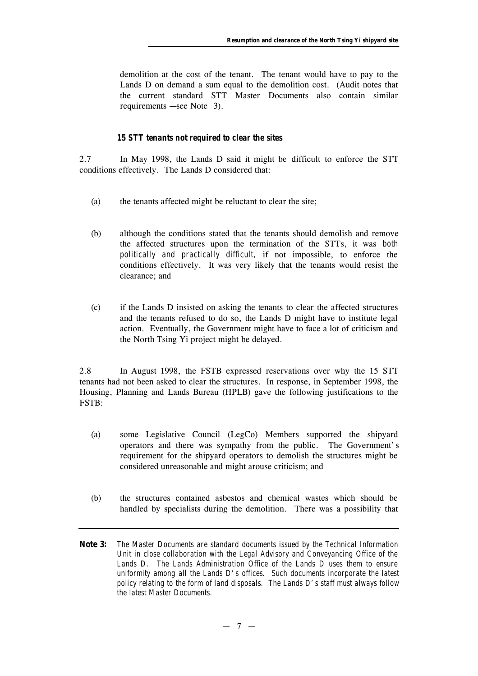demolition at the cost of the tenant. The tenant would have to pay to the Lands D on demand a sum equal to the demolition cost. (Audit notes that the current standard STT Master Documents also contain similar requirements — see Note 3).

#### *15 STT tenants not required to clear the sites*

2.7 In May 1998, the Lands D said it might be difficult to enforce the STT conditions effectively. The Lands D considered that:

- (a) the tenants affected might be reluctant to clear the site;
- (b) although the conditions stated that the tenants should demolish and remove the affected structures upon the termination of the STTs, it was *both politically and practically difficult,* if not impossible, to enforce the conditions effectively. It was very likely that the tenants would resist the clearance; and
- (c) if the Lands D insisted on asking the tenants to clear the affected structures and the tenants refused to do so, the Lands D might have to institute legal action. Eventually, the Government might have to face a lot of criticism and the North Tsing Yi project might be delayed.

2.8 In August 1998, the FSTB expressed reservations over why the 15 STT tenants had not been asked to clear the structures. In response, in September 1998, the Housing, Planning and Lands Bureau (HPLB) gave the following justifications to the FSTB:

- (a) some Legislative Council (LegCo) Members supported the shipyard operators and there was sympathy from the public. The Government's requirement for the shipyard operators to demolish the structures might be considered unreasonable and might arouse criticism; and
- (b) the structures contained asbestos and chemical wastes which should be handled by specialists during the demolition. There was a possibility that
- **Note 3:** *The Master Documents are standard documents issued by the Technical Information Unit in close collaboration with the Legal Advisory and Conveyancing Office of the Lands D. The Lands Administration Office of the Lands D uses them to ensure uniformity among all the Lands D's offices. Such documents incorporate the latest policy relating to the form of land disposals. The Lands D's staff must always follow the latest Master Documents.*

 $-7 -$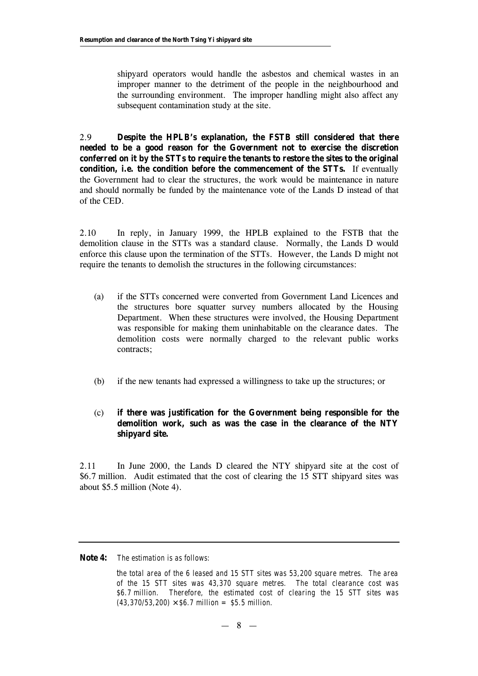shipyard operators would handle the asbestos and chemical wastes in an improper manner to the detriment of the people in the neighbourhood and the surrounding environment. The improper handling might also affect any subsequent contamination study at the site.

2.9 **Despite the HPLB's explanation, the FSTB still considered that there needed to be a good reason for the Government not to exercise the discretion conferred on it by the STTs to require the tenants to restore the sites to the original condition, i.e. the condition** *before* **the commencement of the STTs.** If eventually the Government had to clear the structures, the work would be maintenance in nature and should normally be funded by the maintenance vote of the Lands D instead of that of the CED.

2.10 In reply, in January 1999, the HPLB explained to the FSTB that the demolition clause in the STTs was a standard clause. Normally, the Lands D would enforce this clause upon the termination of the STTs. However, the Lands D might not require the tenants to demolish the structures in the following circumstances:

- (a) if the STTs concerned were converted from Government Land Licences and the structures bore squatter survey numbers allocated by the Housing Department. When these structures were involved, the Housing Department was responsible for making them uninhabitable on the clearance dates. The demolition costs were normally charged to the relevant public works contracts;
- (b) if the new tenants had expressed a willingness to take up the structures; or
- (c) **if there was justification for the Government being responsible for the demolition work, such as was the case in the clearance of the NTY shipyard site.**

2.11 In June 2000, the Lands D cleared the NTY shipyard site at the cost of \$6.7 million. Audit estimated that the cost of clearing the 15 STT shipyard sites was about \$5.5 million (Note 4).

**Note 4:** *The estimation is as follows:*

*the total area of the 6 leased and 15 STT sites was 53,200 square metres. The area of the 15 STT sites was 43,370 square metres. The total clearance cost was \$6.7 million. Therefore, the estimated cost of clearing the 15 STT sites was (43,370/53,200) ´ \$6.7 million = \$5.5 million.*

 $-8 -$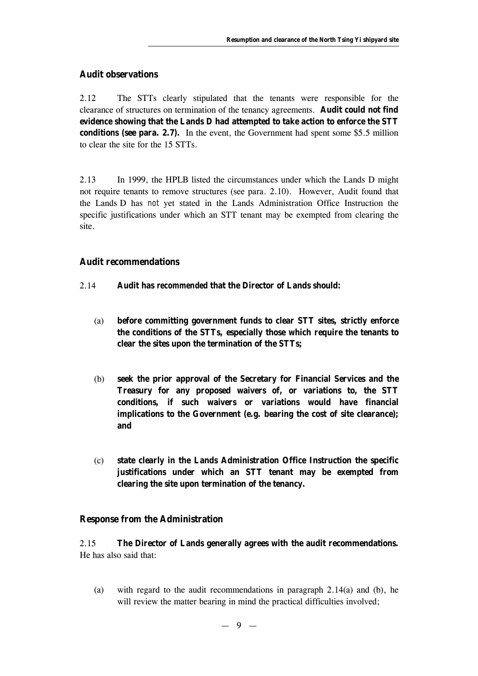## **Audit observations**

2.12 The STTs clearly stipulated that the tenants were responsible for the clearance of structures on termination of the tenancy agreements. **Audit could not find evidence showing that the Lands D had attempted to take action to enforce the STT conditions (see para. 2.7).** In the event, the Government had spent some \$5.5 million to clear the site for the 15 STTs.

2.13 In 1999, the HPLB listed the circumstances under which the Lands D might not require tenants to remove structures (see para. 2.10). However, Audit found that the Lands D has *not* yet stated in the Lands Administration Office Instruction the specific justifications under which an STT tenant may be exempted from clearing the site.

## **Audit recommendations**

- 2.14 **Audit has** *recommended* **that the Director of Lands should:**
	- (a) **before committing government funds to clear STT sites, strictly enforce the conditions of the STTs, especially those which require the tenants to clear the sites upon the termination of the STTs;**
	- (b) **seek the prior approval of the Secretary for Financial Services and the Treasury for any proposed waivers of, or variations to, the STT conditions, if such waivers or variations would have financial implications to the Government (e.g. bearing the cost of site clearance); and**
	- (c) **state clearly in the Lands Administration Office Instruction the specific justifications under which an STT tenant may be exempted from clearing the site upon termination of the tenancy.**

# **Response from the Administration**

2.15 **The Director of Lands generally agrees with the audit recommendations.** He has also said that:

(a) with regard to the audit recommendations in paragraph 2.14(a) and (b), he will review the matter bearing in mind the practical difficulties involved;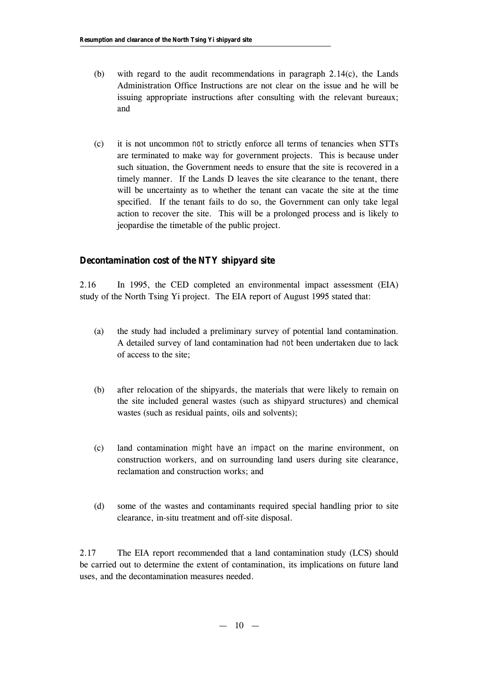- (b) with regard to the audit recommendations in paragraph 2.14(c), the Lands Administration Office Instructions are not clear on the issue and he will be issuing appropriate instructions after consulting with the relevant bureaux; and
- (c) it is not uncommon *not* to strictly enforce all terms of tenancies when STTs are terminated to make way for government projects. This is because under such situation, the Government needs to ensure that the site is recovered in a timely manner. If the Lands D leaves the site clearance to the tenant, there will be uncertainty as to whether the tenant can vacate the site at the time specified. If the tenant fails to do so, the Government can only take legal action to recover the site. This will be a prolonged process and is likely to jeopardise the timetable of the public project.

# **Decontamination cost of the NTY shipyard site**

2.16 In 1995, the CED completed an environmental impact assessment (EIA) study of the North Tsing Yi project. The EIA report of August 1995 stated that:

- (a) the study had included a preliminary survey of potential land contamination. A detailed survey of land contamination had *not* been undertaken due to lack of access to the site;
- (b) after relocation of the shipyards, the materials that were likely to remain on the site included general wastes (such as shipyard structures) and chemical wastes (such as residual paints, oils and solvents);
- (c) land contamination *might have an impact* on the marine environment, on construction workers, and on surrounding land users during site clearance, reclamation and construction works; and
- (d) some of the wastes and contaminants required special handling prior to site clearance, in-situ treatment and off-site disposal.

2.17 The EIA report recommended that a land contamination study (LCS) should be carried out to determine the extent of contamination, its implications on future land uses, and the decontamination measures needed.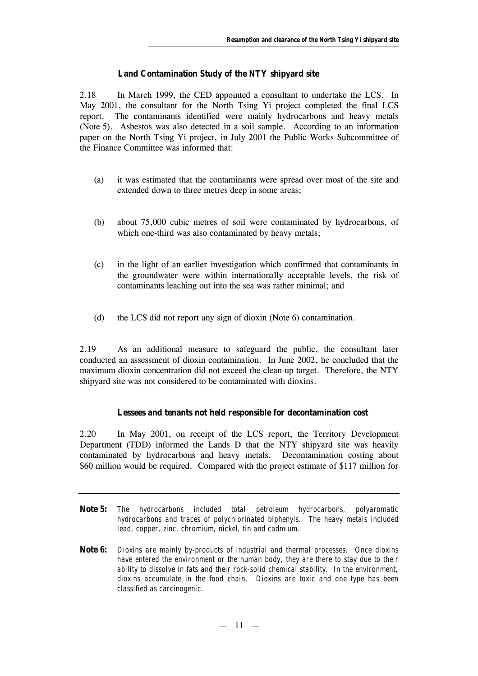## **Land Contamination Study of the NTY shipyard site**

2.18 In March 1999, the CED appointed a consultant to undertake the LCS. In May 2001, the consultant for the North Tsing Yi project completed the final LCS report. The contaminants identified were mainly hydrocarbons and heavy metals (Note 5). Asbestos was also detected in a soil sample. According to an information paper on the North Tsing Yi project, in July 2001 the Public Works Subcommittee of the Finance Committee was informed that:

- (a) it was estimated that the contaminants were spread over most of the site and extended down to three metres deep in some areas;
- (b) about 75,000 cubic metres of soil were contaminated by hydrocarbons, of which one-third was also contaminated by heavy metals;
- (c) in the light of an earlier investigation which confirmed that contaminants in the groundwater were within internationally acceptable levels, the risk of contaminants leaching out into the sea was rather minimal; and
- (d) the LCS did not report any sign of dioxin (Note 6) contamination.

2.19 As an additional measure to safeguard the public, the consultant later conducted an assessment of dioxin contamination. In June 2002, he concluded that the maximum dioxin concentration did not exceed the clean-up target. Therefore, the NTY shipyard site was not considered to be contaminated with dioxins.

#### **Lessees and tenants not held responsible for decontamination cost**

2.20 In May 2001, on receipt of the LCS report, the Territory Development Department (TDD) informed the Lands D that the NTY shipyard site was heavily contaminated by hydrocarbons and heavy metals. Decontamination costing about \$60 million would be required. Compared with the project estimate of \$117 million for

- **Note 5:** *The hydrocarbons included total petroleum hydrocarbons, polyaromatic hydrocarbons and traces of polychlorinated biphenyls. The heavy metals included lead, copper, zinc, chromium, nickel, tin and cadmium.*
- **Note 6:** *Dioxins are mainly by-products of industrial and thermal processes. Once dioxins have entered the environment or the human body, they are there to stay due to their ability to dissolve in fats and their rock-solid chemical stability. In the environment, dioxins accumulate in the food chain. Dioxins are toxic and one type has been classified as carcinogenic.*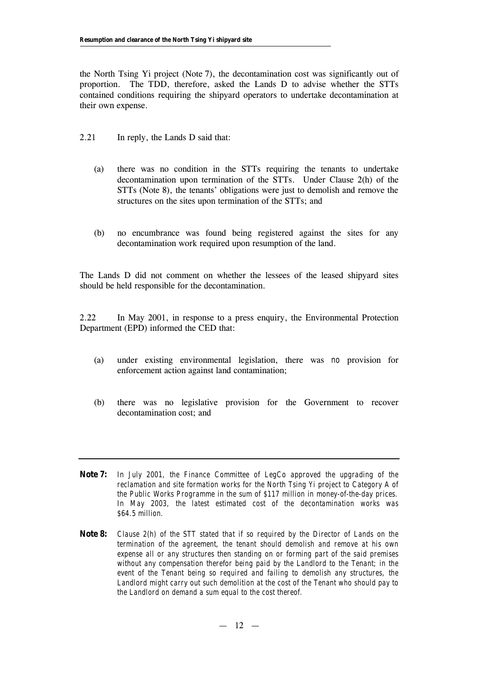the North Tsing Yi project (Note 7), the decontamination cost was significantly out of proportion. The TDD, therefore, asked the Lands D to advise whether the STTs contained conditions requiring the shipyard operators to undertake decontamination at their own expense.

- 2.21 In reply, the Lands D said that:
	- (a) there was no condition in the STTs requiring the tenants to undertake decontamination upon termination of the STTs. Under Clause 2(h) of the STTs (Note 8), the tenants' obligations were just to demolish and remove the structures on the sites upon termination of the STTs; and
	- (b) no encumbrance was found being registered against the sites for any decontamination work required upon resumption of the land.

The Lands D did not comment on whether the lessees of the leased shipyard sites should be held responsible for the decontamination.

2.22 In May 2001, in response to a press enquiry, the Environmental Protection Department (EPD) informed the CED that:

- (a) under existing environmental legislation, there was *no* provision for enforcement action against land contamination;
- (b) there was no legislative provision for the Government to recover decontamination cost; and
- **Note 7:** *In July 2001, the Finance Committee of LegCo approved the upgrading of the reclamation and site formation works for the North Tsing Yi project to Category A of the Public Works Programme in the sum of \$117 million in money-of-the-day prices. In May 2003, the latest estimated cost of the decontamination works was \$64.5 million.*
- **Note 8:** *Clause 2(h) of the STT stated that if so required by the Director of Lands on the termination of the agreement, the tenant should demolish and remove at his own expense all or any structures then standing on or forming part of the said premises without any compensation therefor being paid by the Landlord to the Tenant; in the event of the Tenant being so required and failing to demolish any structures, the* Landlord might carry out such demolition at the cost of the Tenant who should pay to *the Landlord on demand a sum equal to the cost thereof.*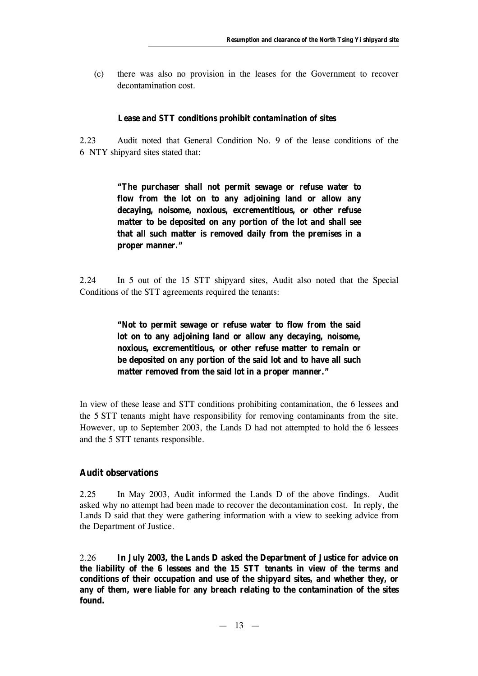(c) there was also no provision in the leases for the Government to recover decontamination cost.

#### **Lease and STT conditions prohibit contamination of sites**

2.23 Audit noted that General Condition No. 9 of the lease conditions of the 6 NTY shipyard sites stated that:

> **"The purchaser shall not permit sewage or refuse water to flow from the lot on to any adjoining land or allow any decaying, noisome, noxious, excrementitious, or other refuse matter to be deposited on any portion of the lot and shall see that all such matter is removed daily from the premises in a proper manner."**

2.24 In 5 out of the 15 STT shipyard sites, Audit also noted that the Special Conditions of the STT agreements required the tenants:

> **"Not to permit sewage or refuse water to flow from the said lot on to any adjoining land or allow any decaying, noisome, noxious, excrementitious, or other refuse matter to remain or be deposited on any portion of the said lot and to have all such matter removed from the said lot in a proper manner."**

In view of these lease and STT conditions prohibiting contamination, the 6 lessees and the 5 STT tenants might have responsibility for removing contaminants from the site. However, up to September 2003, the Lands D had not attempted to hold the 6 lessees and the 5 STT tenants responsible.

#### **Audit observations**

2.25 In May 2003, Audit informed the Lands D of the above findings. Audit asked why no attempt had been made to recover the decontamination cost. In reply, the Lands D said that they were gathering information with a view to seeking advice from the Department of Justice.

2.26 **In July 2003, the Lands D asked the Department of Justice for advice on the liability of the 6 lessees and the 15 STT tenants in view of the terms and conditions of their occupation and use of the shipyard sites, and whether they, or any of them, were liable for any breach relating to the contamination of the sites found.**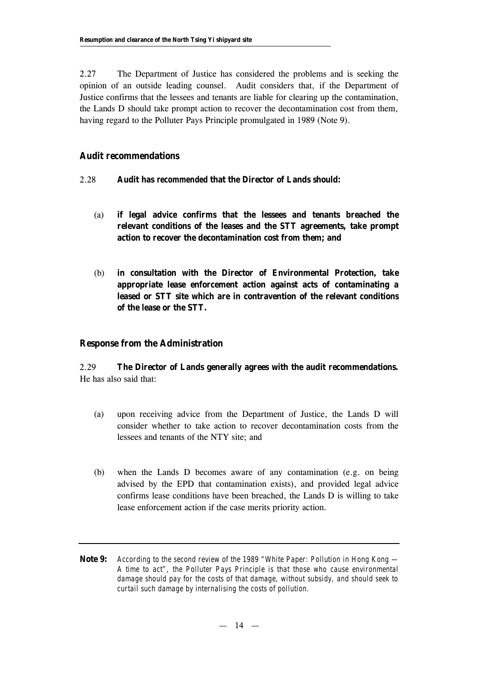2.27 The Department of Justice has considered the problems and is seeking the opinion of an outside leading counsel. Audit considers that, if the Department of Justice confirms that the lessees and tenants are liable for clearing up the contamination, the Lands D should take prompt action to recover the decontamination cost from them, having regard to the Polluter Pays Principle promulgated in 1989 (Note 9).

# **Audit recommendations**

# 2.28 **Audit has** *recommended* **that the Director of Lands should:**

- (a) **if legal advice confirms that the lessees and tenants breached the relevant conditions of the leases and the STT agreements, take prompt action to recover the decontamination cost from them; and**
- (b) **in consultation with the Director of Environmental Protection, take appropriate lease enforcement action against acts of contaminating a leased or STT site which are in contravention of the relevant conditions of the lease or the STT.**

# **Response from the Administration**

2.29 **The Director of Lands generally agrees with the audit recommendations.** He has also said that:

- (a) upon receiving advice from the Department of Justice, the Lands D will consider whether to take action to recover decontamination costs from the lessees and tenants of the NTY site; and
- (b) when the Lands D becomes aware of any contamination (e.g. on being advised by the EPD that contamination exists), and provided legal advice confirms lease conditions have been breached, the Lands D is willing to take lease enforcement action if the case merits priority action.
- **Note 9:** *According to the second review of the 1989 "White Paper: Pollution in Hong Kong — A time to act", the Polluter Pays Principle is that those who cause environmental damage should pay for the costs of that damage, without subsidy, and should seek to curtail such damage by internalising the costs of pollution.*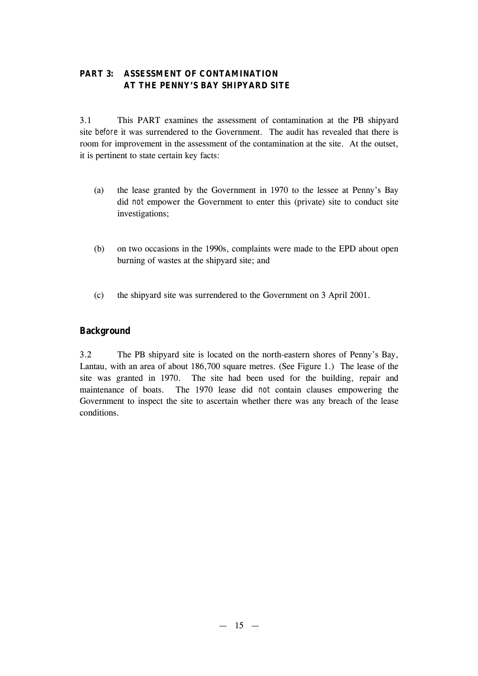# **PART 3: ASSESSMENT OF CONTAMINATION AT THE PENNY'S BAY SHIPYARD SITE**

3.1 This PART examines the assessment of contamination at the PB shipyard site *before* it was surrendered to the Government. The audit has revealed that there is room for improvement in the assessment of the contamination at the site. At the outset, it is pertinent to state certain key facts:

- (a) the lease granted by the Government in 1970 to the lessee at Penny's Bay did *not* empower the Government to enter this (private) site to conduct site investigations;
- (b) on two occasions in the 1990s, complaints were made to the EPD about open burning of wastes at the shipyard site; and
- (c) the shipyard site was surrendered to the Government on 3 April 2001.

# **Background**

3.2 The PB shipyard site is located on the north-eastern shores of Penny's Bay, Lantau, with an area of about 186,700 square metres. (See Figure 1.) The lease of the site was granted in 1970. The site had been used for the building, repair and maintenance of boats. The 1970 lease did *not* contain clauses empowering the Government to inspect the site to ascertain whether there was any breach of the lease conditions.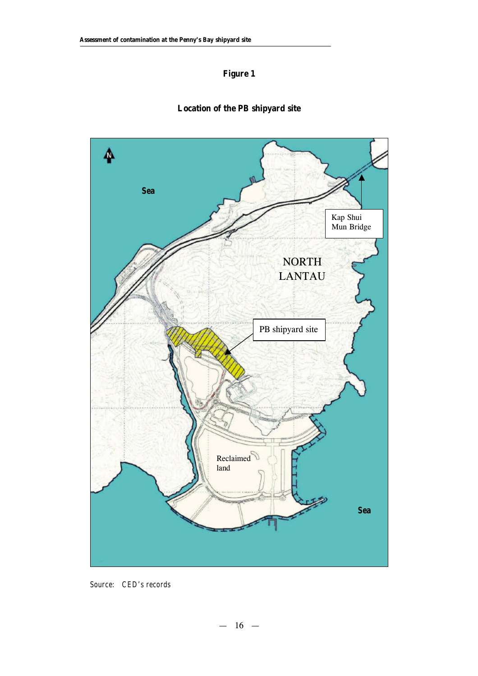# **Figure 1**



# **Location of the PB shipyard site**

*Source: CED's records*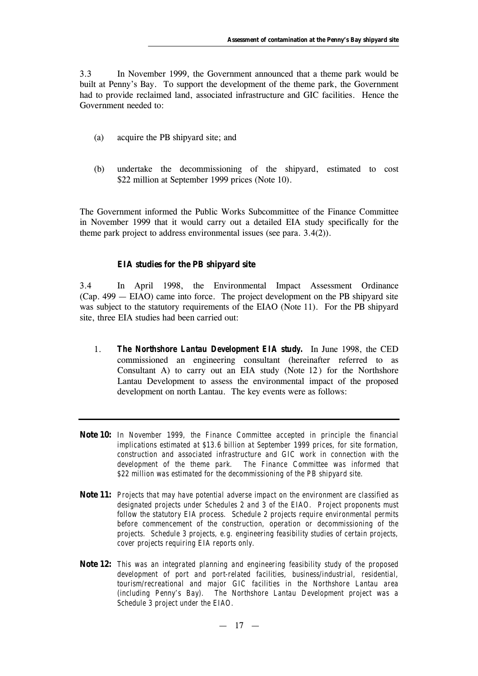3.3 In November 1999, the Government announced that a theme park would be built at Penny's Bay. To support the development of the theme park, the Government had to provide reclaimed land, associated infrastructure and GIC facilities. Hence the Government needed to:

- (a) acquire the PB shipyard site; and
- (b) undertake the decommissioning of the shipyard, estimated to cost \$22 million at September 1999 prices (Note 10).

The Government informed the Public Works Subcommittee of the Finance Committee in November 1999 that it would carry out a detailed EIA study specifically for the theme park project to address environmental issues (see para. 3.4(2)).

#### **EIA studies for the PB shipyard site**

3.4 In April 1998, the Environmental Impact Assessment Ordinance (Cap. 499 — EIAO) came into force. The project development on the PB shipyard site was subject to the statutory requirements of the EIAO (Note 11). For the PB shipyard site, three EIA studies had been carried out:

- 1. *The Northshore Lantau Development EIA study.* In June 1998, the CED commissioned an engineering consultant (hereinafter referred to as Consultant A) to carry out an EIA study (Note 12) for the Northshore Lantau Development to assess the environmental impact of the proposed development on north Lantau. The key events were as follows:
- **Note 10:** *In November 1999, the Finance Committee accepted in principle the financial implications estimated at \$13.6 billion at September 1999 prices, for site formation, construction and associated infrastructure and GIC work in connection with the development of the theme park. The Finance Committee was informed that \$22 million was estimated for the decommissioning of the PB shipyard site.*
- **Note 11:** *Projects that may have potential adverse impact on the environment are classified as designated projects under Schedules 2 and 3 of the EIAO. Project proponents must follow the statutory EIA process. Schedule 2 projects require environmental permits before commencement of the construction, operation or decommissioning of the projects. Schedule 3 projects, e.g. engineering feasibility studies of certain projects, cover projects requiring EIA reports only.*
- **Note 12:** *This was an integrated planning and engineering feasibility study of the proposed development of port and port-related facilities, business/industrial, residential, tourism/recreational and major GIC facilities in the Northshore Lantau area (including Penny's Bay). The Northshore Lantau Development project was a Schedule 3 project under the EIAO.*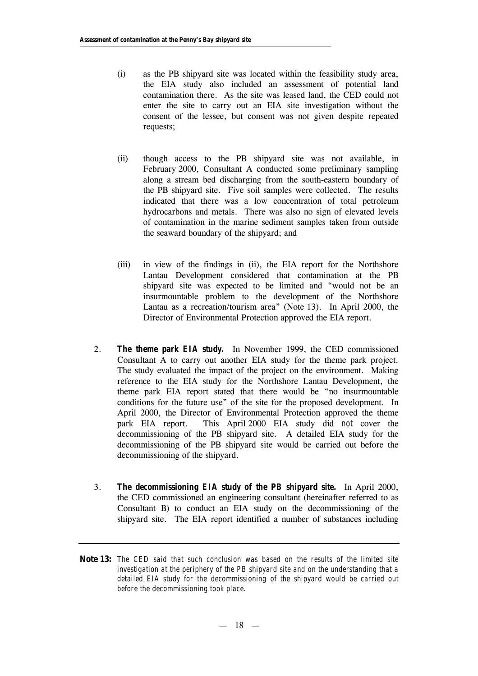- (i) as the PB shipyard site was located within the feasibility study area, the EIA study also included an assessment of potential land contamination there. As the site was leased land, the CED could not enter the site to carry out an EIA site investigation without the consent of the lessee, but consent was not given despite repeated requests;
- (ii) though access to the PB shipyard site was not available, in February 2000, Consultant A conducted some preliminary sampling along a stream bed discharging from the south-eastern boundary of the PB shipyard site. Five soil samples were collected. The results indicated that there was a low concentration of total petroleum hydrocarbons and metals. There was also no sign of elevated levels of contamination in the marine sediment samples taken from outside the seaward boundary of the shipyard; and
- (iii) in view of the findings in (ii), the EIA report for the Northshore Lantau Development considered that contamination at the PB shipyard site was expected to be limited and "would not be an insurmountable problem to the development of the Northshore Lantau as a recreation/tourism area" (Note 13). In April 2000, the Director of Environmental Protection approved the EIA report.
- 2. *The theme park EIA study.* In November 1999, the CED commissioned Consultant A to carry out another EIA study for the theme park project. The study evaluated the impact of the project on the environment. Making reference to the EIA study for the Northshore Lantau Development, the theme park EIA report stated that there would be "no insurmountable conditions for the future use" of the site for the proposed development. In April 2000, the Director of Environmental Protection approved the theme park EIA report. This April 2000 EIA study did *not* cover the decommissioning of the PB shipyard site. A detailed EIA study for the decommissioning of the PB shipyard site would be carried out before the decommissioning of the shipyard.
- 3. *The decommissioning EIA study of the PB shipyard site.* In April 2000, the CED commissioned an engineering consultant (hereinafter referred to as Consultant B) to conduct an EIA study on the decommissioning of the shipyard site. The EIA report identified a number of substances including
- **Note 13:** *The CED said that such conclusion was based on the results of the limited site investigation at the periphery of the PB shipyard site and on the understanding that a detailed EIA study for the decommissioning of the shipyard would be carried out before the decommissioning took place.*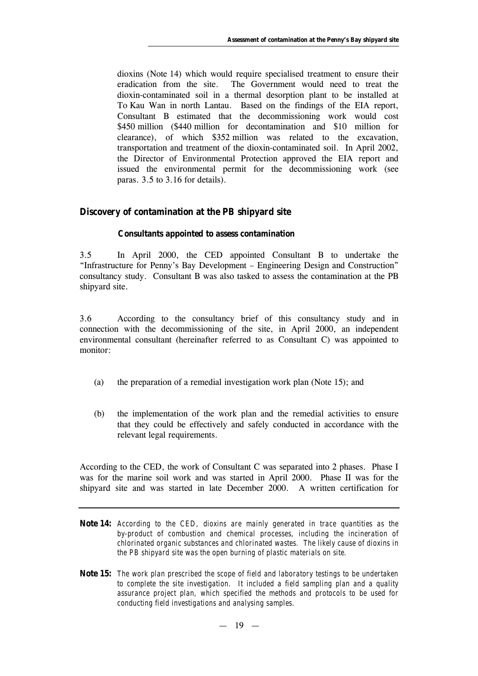dioxins (Note 14) which would require specialised treatment to ensure their eradication from the site. The Government would need to treat the dioxin-contaminated soil in a thermal desorption plant to be installed at To Kau Wan in north Lantau. Based on the findings of the EIA report, Consultant B estimated that the decommissioning work would cost \$450 million (\$440 million for decontamination and \$10 million for clearance), of which \$352 million was related to the excavation, transportation and treatment of the dioxin-contaminated soil. In April 2002, the Director of Environmental Protection approved the EIA report and issued the environmental permit for the decommissioning work (see paras. 3.5 to 3.16 for details).

#### **Discovery of contamination at the PB shipyard site**

#### **Consultants appointed to assess contamination**

3.5 In April 2000, the CED appointed Consultant B to undertake the "Infrastructure for Penny's Bay Development – Engineering Design and Construction" consultancy study. Consultant B was also tasked to assess the contamination at the PB shipyard site.

3.6 According to the consultancy brief of this consultancy study and in connection with the decommissioning of the site, in April 2000, an independent environmental consultant (hereinafter referred to as Consultant C) was appointed to monitor:

- (a) the preparation of a remedial investigation work plan (Note 15); and
- (b) the implementation of the work plan and the remedial activities to ensure that they could be effectively and safely conducted in accordance with the relevant legal requirements.

According to the CED, the work of Consultant C was separated into 2 phases. Phase I was for the marine soil work and was started in April 2000. Phase II was for the shipyard site and was started in late December 2000. A written certification for

- **Note 14:** *According to the CED, dioxins are mainly generated in trace quantities as the by-product of combustion and chemical processes, including the incineration of chlorinated organic substances and chlorinated wastes. The likely cause of dioxins in the PB shipyard site was the open burning of plastic materials on site.*
- **Note 15:** *The work plan prescribed the scope of field and laboratory testings to be undertaken to complete the site investigation. It included a field sampling plan and a quality assurance project plan, which specified the methods and protocols to be used for conducting field investigations and analysing samples.*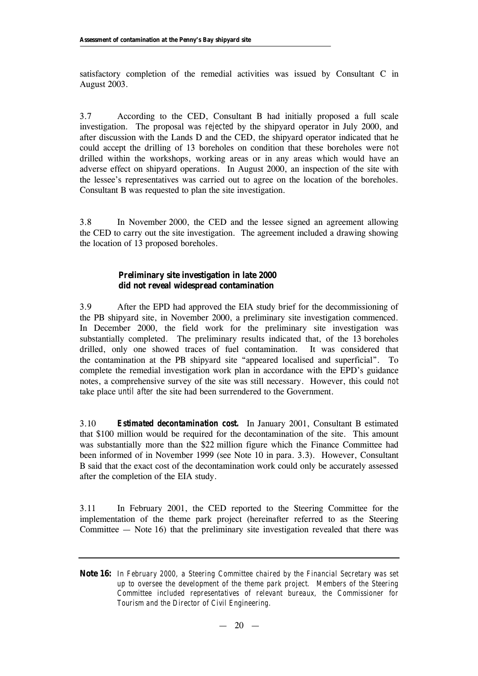satisfactory completion of the remedial activities was issued by Consultant C in August 2003.

3.7 According to the CED, Consultant B had initially proposed a full scale investigation. The proposal was *rejected* by the shipyard operator in July 2000, and after discussion with the Lands D and the CED, the shipyard operator indicated that he could accept the drilling of 13 boreholes on condition that these boreholes were *not* drilled within the workshops, working areas or in any areas which would have an adverse effect on shipyard operations. In August 2000, an inspection of the site with the lessee's representatives was carried out to agree on the location of the boreholes. Consultant B was requested to plan the site investigation.

3.8 In November 2000, the CED and the lessee signed an agreement allowing the CED to carry out the site investigation. The agreement included a drawing showing the location of 13 proposed boreholes.

## **Preliminary site investigation in late 2000 did not reveal widespread contamination**

3.9 After the EPD had approved the EIA study brief for the decommissioning of the PB shipyard site, in November 2000, a preliminary site investigation commenced. In December 2000, the field work for the preliminary site investigation was substantially completed. The preliminary results indicated that, of the 13 boreholes drilled, only one showed traces of fuel contamination. It was considered that the contamination at the PB shipyard site "appeared localised and superficial". To complete the remedial investigation work plan in accordance with the EPD's guidance notes, a comprehensive survey of the site was still necessary. However, this could *not* take place *until after* the site had been surrendered to the Government.

3.10 *Estimated decontamination cost.* In January 2001, Consultant B estimated that \$100 million would be required for the decontamination of the site. This amount was substantially more than the \$22 million figure which the Finance Committee had been informed of in November 1999 (see Note 10 in para. 3.3). However, Consultant B said that the exact cost of the decontamination work could only be accurately assessed after the completion of the EIA study.

3.11 In February 2001, the CED reported to the Steering Committee for the implementation of the theme park project (hereinafter referred to as the Steering Committee — Note 16) that the preliminary site investigation revealed that there was

**Note 16:** *In February 2000, a Steering Committee chaired by the Financial Secretary was set up to oversee the development of the theme park project. Members of the Steering Committee included representatives of relevant bureaux, the Commissioner for Tourism and the Director of Civil Engineering.*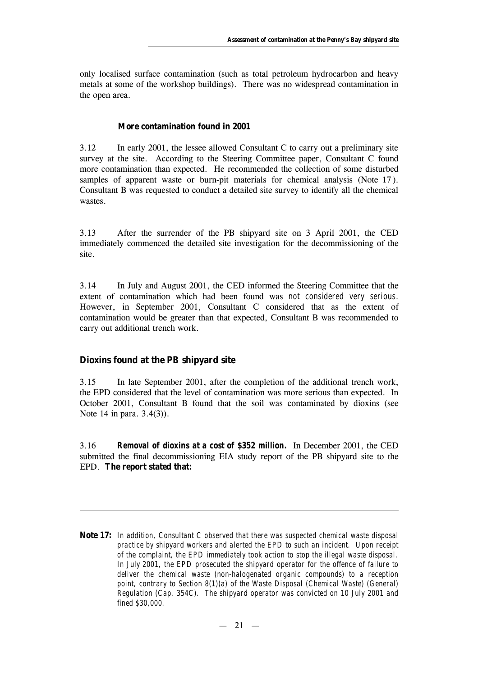only localised surface contamination (such as total petroleum hydrocarbon and heavy metals at some of the workshop buildings). There was no widespread contamination in the open area.

#### **More contamination found in 2001**

3.12 In early 2001, the lessee allowed Consultant C to carry out a preliminary site survey at the site. According to the Steering Committee paper, Consultant C found more contamination than expected. He recommended the collection of some disturbed samples of apparent waste or burn-pit materials for chemical analysis (Note 17 ). Consultant B was requested to conduct a detailed site survey to identify all the chemical wastes.

3.13 After the surrender of the PB shipyard site on 3 April 2001, the CED immediately commenced the detailed site investigation for the decommissioning of the site.

3.14 In July and August 2001, the CED informed the Steering Committee that the extent of contamination which had been found was *not considered very serious*. However, in September 2001, Consultant C considered that as the extent of contamination would be greater than that expected, Consultant B was recommended to carry out additional trench work.

#### **Dioxins found at the PB shipyard site**

3.15 In late September 2001, after the completion of the additional trench work, the EPD considered that the level of contamination was more serious than expected. In October 2001, Consultant B found that the soil was contaminated by dioxins (see Note 14 in para. 3.4(3)).

3.16 *Removal of dioxins at a cost of \$352 million.* In December 2001, the CED submitted the final decommissioning EIA study report of the PB shipyard site to the EPD. **The report stated that:**

**Note 17:** *In addition, Consultant C observed that there was suspected chemical waste disposal practice by shipyard workers and alerted the EPD to such an incident. Upon receipt of the complaint, the EPD immediately took action to stop the illegal waste disposal. In July 2001, the EPD prosecuted the shipyard operator for the offence of failure to deliver the chemical waste (non-halogenated organic compounds) to a reception point, contrary to Section 8(1)(a) of the Waste Disposal (Chemical Waste) (General) Regulation (Cap. 354C). The shipyard operator was convicted on 10 July 2001 and fined \$30,000.*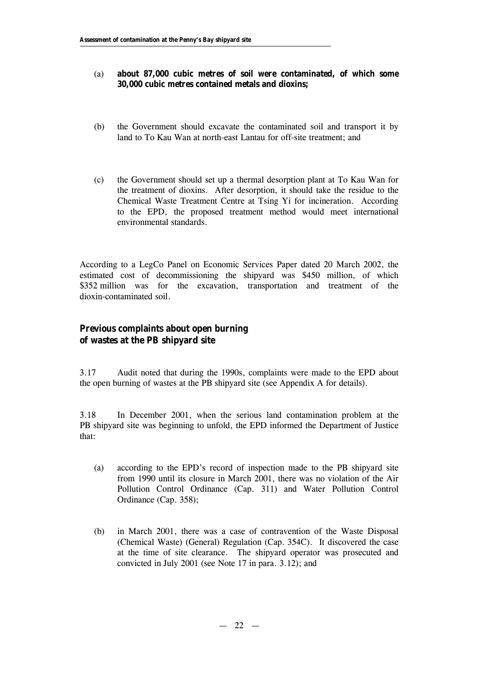### (a) **about 87,000 cubic metres of soil were contaminated, of which some 30,000 cubic metres contained metals and dioxins;**

- (b) the Government should excavate the contaminated soil and transport it by land to To Kau Wan at north-east Lantau for off-site treatment; and
- (c) the Government should set up a thermal desorption plant at To Kau Wan for the treatment of dioxins. After desorption, it should take the residue to the Chemical Waste Treatment Centre at Tsing Yi for incineration. According to the EPD, the proposed treatment method would meet international environmental standards.

According to a LegCo Panel on Economic Services Paper dated 20 March 2002, the estimated cost of decommissioning the shipyard was \$450 million, of which \$352 million was for the excavation, transportation and treatment of the dioxin-contaminated soil.

# **Previous complaints about open burning of wastes at the PB shipyard site**

3.17 Audit noted that during the 1990s, complaints were made to the EPD about the open burning of wastes at the PB shipyard site (see Appendix A for details).

3.18 In December 2001, when the serious land contamination problem at the PB shipyard site was beginning to unfold, the EPD informed the Department of Justice that:

- (a) according to the EPD's record of inspection made to the PB shipyard site from 1990 until its closure in March 2001, there was no violation of the Air Pollution Control Ordinance (Cap. 311) and Water Pollution Control Ordinance (Cap. 358);
- (b) in March 2001, there was a case of contravention of the Waste Disposal (Chemical Waste) (General) Regulation (Cap. 354C). It discovered the case at the time of site clearance. The shipyard operator was prosecuted and convicted in July 2001 (see Note 17 in para. 3.12); and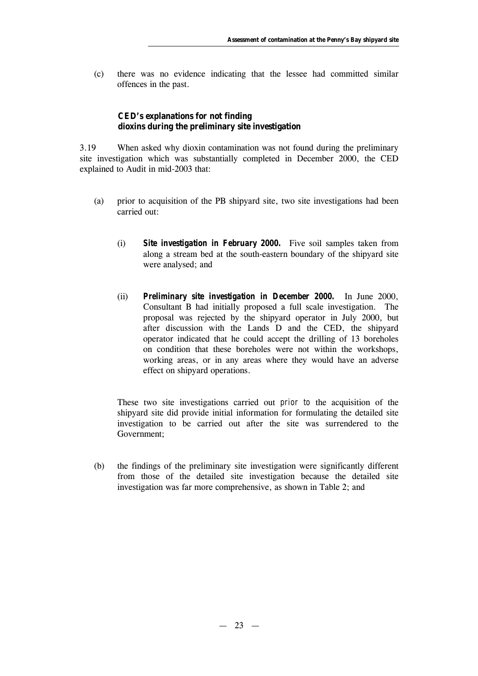(c) there was no evidence indicating that the lessee had committed similar offences in the past.

# **CED's explanations for not finding dioxins during the preliminary site investigation**

3.19 When asked why dioxin contamination was not found during the preliminary site investigation which was substantially completed in December 2000, the CED explained to Audit in mid-2003 that:

- (a) prior to acquisition of the PB shipyard site, two site investigations had been carried out:
	- (i) *Site investigation in February 2000.* Five soil samples taken from along a stream bed at the south-eastern boundary of the shipyard site were analysed; and
	- (ii) *Preliminary site investigation in December 2000.* In June 2000, Consultant B had initially proposed a full scale investigation. The proposal was rejected by the shipyard operator in July 2000, but after discussion with the Lands D and the CED, the shipyard operator indicated that he could accept the drilling of 13 boreholes on condition that these boreholes were not within the workshops, working areas, or in any areas where they would have an adverse effect on shipyard operations.

These two site investigations carried out *prior to* the acquisition of the shipyard site did provide initial information for formulating the detailed site investigation to be carried out after the site was surrendered to the Government;

(b) the findings of the preliminary site investigation were significantly different from those of the detailed site investigation because the detailed site investigation was far more comprehensive, as shown in Table 2; and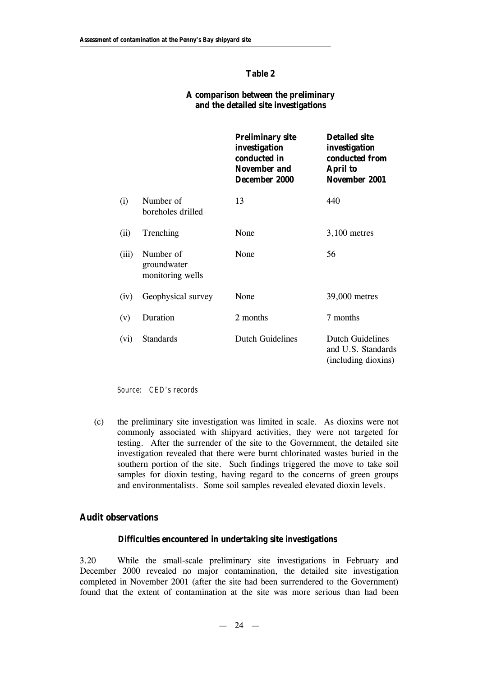### **Table 2**

### **A comparison between the preliminary and the detailed site investigations**

|       |                                              | <b>Preliminary site</b><br>investigation<br>conducted in<br><b>November and</b><br>December 2000 | <b>Detailed site</b><br>investigation<br>conducted from<br><b>April to</b><br>November 2001 |
|-------|----------------------------------------------|--------------------------------------------------------------------------------------------------|---------------------------------------------------------------------------------------------|
| (i)   | Number of<br>boreholes drilled               | 13                                                                                               | 440                                                                                         |
| (ii)  | Trenching                                    | None                                                                                             | $3,100$ metres                                                                              |
| (iii) | Number of<br>groundwater<br>monitoring wells | None                                                                                             | 56                                                                                          |
| (iv)  | Geophysical survey                           | None                                                                                             | 39,000 metres                                                                               |
| (v)   | Duration                                     | 2 months                                                                                         | 7 months                                                                                    |
| (vi)  | <b>Standards</b>                             | <b>Dutch Guidelines</b>                                                                          | <b>Dutch Guidelines</b><br>and U.S. Standards<br>(including dioxins)                        |

*Source: CED's records*

(c) the preliminary site investigation was limited in scale. As dioxins were not commonly associated with shipyard activities, they were not targeted for testing. After the surrender of the site to the Government, the detailed site investigation revealed that there were burnt chlorinated wastes buried in the southern portion of the site. Such findings triggered the move to take soil samples for dioxin testing, having regard to the concerns of green groups and environmentalists. Some soil samples revealed elevated dioxin levels.

# **Audit observations**

#### **Difficulties encountered in undertaking site investigations**

3.20 While the small-scale preliminary site investigations in February and December 2000 revealed no major contamination, the detailed site investigation completed in November 2001 (after the site had been surrendered to the Government) found that the extent of contamination at the site was more serious than had been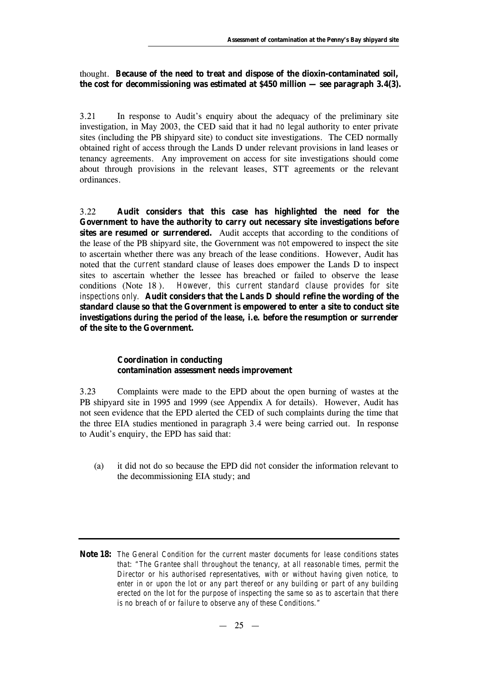## thought. **Because of the need to treat and dispose of the dioxin-contaminated soil, the cost for decommissioning was estimated at \$450 million — see paragraph 3.4(3).**

3.21 In response to Audit's enquiry about the adequacy of the preliminary site investigation, in May 2003, the CED said that it had *no* legal authority to enter private sites (including the PB shipyard site) to conduct site investigations. The CED normally obtained right of access through the Lands D under relevant provisions in land leases or tenancy agreements. Any improvement on access for site investigations should come about through provisions in the relevant leases, STT agreements or the relevant ordinances.

3.22 **Audit considers that this case has highlighted the need for the Government to have the authority to carry out necessary site investigations before**  sites are resumed or surrendered. Audit accepts that according to the conditions of the lease of the PB shipyard site, the Government was *not* empowered to inspect the site to ascertain whether there was any breach of the lease conditions. However, Audit has noted that the *current* standard clause of leases does empower the Lands D to inspect sites to ascertain whether the lessee has breached or failed to observe the lease conditions (Note 18 ). *However, this current standard clause provides for site inspections only.* **Audit considers that the Lands D should refine the wording of the standard clause so that the Government is empowered to enter a site to conduct site investigations** *during the period of the lease***, i.e. before the resumption or surrender of the site to the Government.**

#### **Coordination in conducting contamination assessment needs improvement**

3.23 Complaints were made to the EPD about the open burning of wastes at the PB shipyard site in 1995 and 1999 (see Appendix A for details). However, Audit has not seen evidence that the EPD alerted the CED of such complaints during the time that the three EIA studies mentioned in paragraph 3.4 were being carried out. In response to Audit's enquiry, the EPD has said that:

(a) it did not do so because the EPD did *not* consider the information relevant to the decommissioning EIA study; and

**Note 18:** *The General Condition for the current master documents for lease conditions states that: "The Grantee shall throughout the tenancy, at all reasonable times, permit the Director or his authorised representatives, with or without having given notice, to enter in or upon the lot or any part thereof or any building or part of any building erected on the lot for the purpose of inspecting the same so as to ascertain that there is no breach of or failure to observe any of these Conditions."*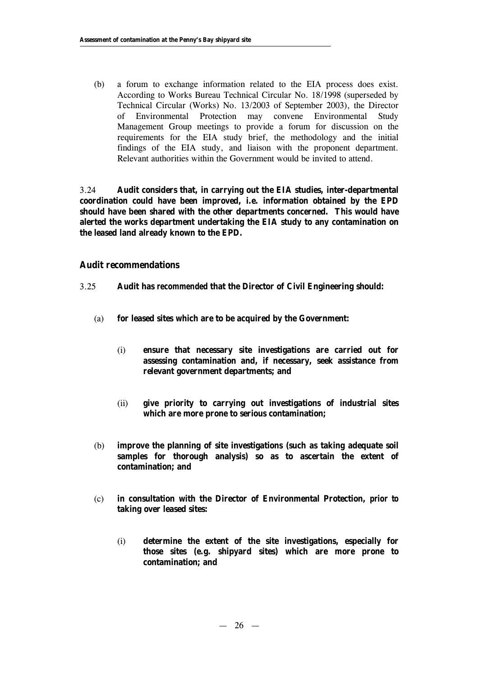(b) a forum to exchange information related to the EIA process does exist. According to Works Bureau Technical Circular No. 18/1998 (superseded by Technical Circular (Works) No. 13/2003 of September 2003), the Director of Environmental Protection may convene Environmental Study Management Group meetings to provide a forum for discussion on the requirements for the EIA study brief, the methodology and the initial findings of the EIA study, and liaison with the proponent department. Relevant authorities within the Government would be invited to attend.

3.24 **Audit considers that, in carrying out the EIA studies, inter-departmental coordination could have been improved, i.e. information obtained by the EPD should have been shared with the other departments concerned. This would have alerted the works department undertaking the EIA study to any contamination on the leased land already known to the EPD.**

## **Audit recommendations**

- 3.25 **Audit has** *recommended* **that the Director of Civil Engineering should:**
	- (a) **for leased sites which are to be acquired by the Government:**
		- (i) **ensure that necessary site investigations are carried out for assessing contamination and, if necessary, seek assistance from relevant government departments; and**
		- (ii) **give priority to carrying out investigations of industrial sites which are more prone to serious contamination;**
	- (b) **improve the planning of site investigations (such as taking adequate soil samples for thorough analysis) so as to ascertain the extent of contamination; and**
	- (c) **in consultation with the Director of Environmental Protection,** *prior to* **taking over leased sites:**
		- (i) **determine the extent of the site investigations, especially for those sites (e.g. shipyard sites) which are more prone to contamination; and**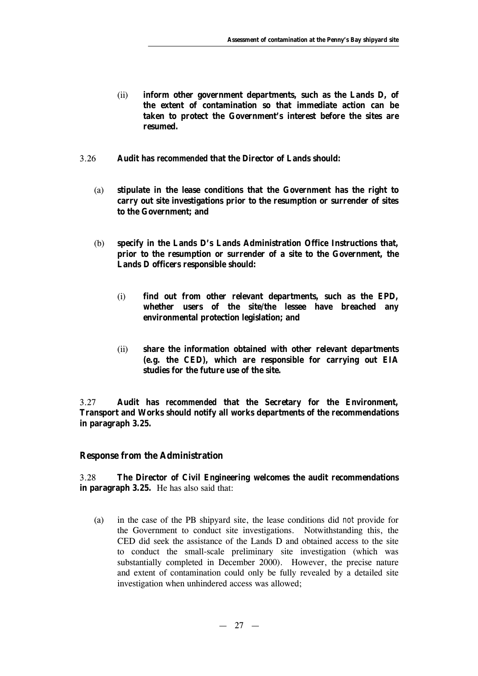- (ii) **inform other government departments, such as the Lands D, of the extent of contamination so that immediate action can be taken to protect the Government's interest before the sites are resumed.**
- 3.26 **Audit has** *recommended* **that the Director of Lands should:**
	- (a) **stipulate in the lease conditions that the Government has the right to carry out site investigations prior to the resumption or surrender of sites to the Government; and**
	- (b) **specify in the Lands D's Lands Administration Office Instructions that, prior to the resumption or surrender of a site to the Government, the Lands D officers responsible should:**
		- (i) **find out from other relevant departments, such as the EPD, whether users of the site/the lessee have breached any environmental protection legislation; and**
		- (ii) **share the information obtained with other relevant departments (e.g. the CED), which are responsible for carrying out EIA studies for the future use of the site.**

3.27 **Audit has** *recommended* **that the Secretary for the Environment, Transport and Works should notify all works departments of the recommendations in paragraph 3.25.**

#### **Response from the Administration**

3.28 **The Director of Civil Engineering welcomes the audit recommendations in paragraph 3.25.** He has also said that:

(a) in the case of the PB shipyard site, the lease conditions did *not* provide for the Government to conduct site investigations. Notwithstanding this, the CED did seek the assistance of the Lands D and obtained access to the site to conduct the small-scale preliminary site investigation (which was substantially completed in December 2000). However, the precise nature and extent of contamination could only be fully revealed by a detailed site investigation when unhindered access was allowed;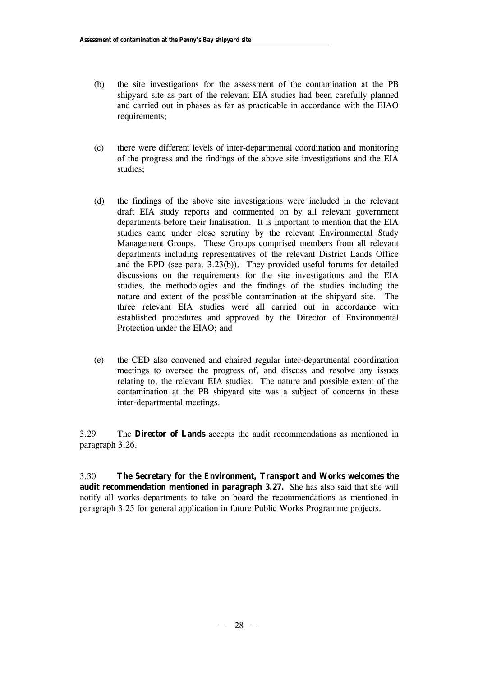- (b) the site investigations for the assessment of the contamination at the PB shipyard site as part of the relevant EIA studies had been carefully planned and carried out in phases as far as practicable in accordance with the EIAO requirements;
- (c) there were different levels of inter-departmental coordination and monitoring of the progress and the findings of the above site investigations and the EIA studies;
- (d) the findings of the above site investigations were included in the relevant draft EIA study reports and commented on by all relevant government departments before their finalisation. It is important to mention that the EIA studies came under close scrutiny by the relevant Environmental Study Management Groups. These Groups comprised members from all relevant departments including representatives of the relevant District Lands Office and the EPD (see para. 3.23(b)). They provided useful forums for detailed discussions on the requirements for the site investigations and the EIA studies, the methodologies and the findings of the studies including the nature and extent of the possible contamination at the shipyard site. The three relevant EIA studies were all carried out in accordance with established procedures and approved by the Director of Environmental Protection under the EIAO; and
- (e) the CED also convened and chaired regular inter-departmental coordination meetings to oversee the progress of, and discuss and resolve any issues relating to, the relevant EIA studies. The nature and possible extent of the contamination at the PB shipyard site was a subject of concerns in these inter-departmental meetings.

3.29 The **Director of Lands** accepts the audit recommendations as mentioned in paragraph 3.26.

3.30 **The Secretary for the Environment, Transport and Works welcomes the audit recommendation mentioned in paragraph 3.27.** She has also said that she will notify all works departments to take on board the recommendations as mentioned in paragraph 3.25 for general application in future Public Works Programme projects.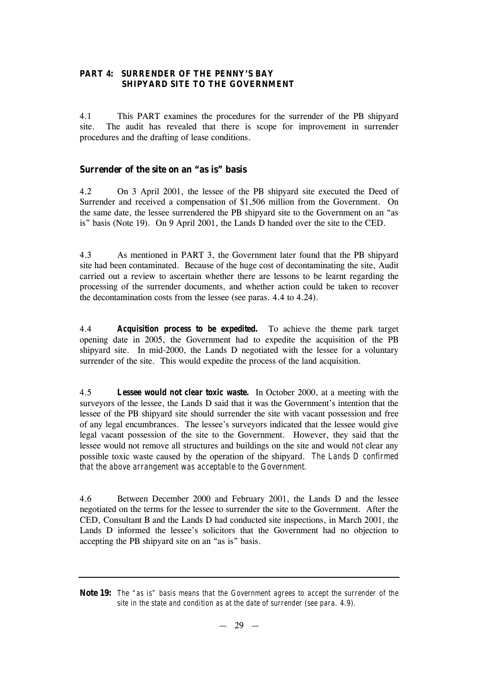## **PART 4: SURRENDER OF THE PENNY'S BAY SHIPYARD SITE TO THE GOVERNMENT**

4.1 This PART examines the procedures for the surrender of the PB shipyard site. The audit has revealed that there is scope for improvement in surrender procedures and the drafting of lease conditions.

# **Surrender of the site on an "as is" basis**

4.2 On 3 April 2001, the lessee of the PB shipyard site executed the Deed of Surrender and received a compensation of \$1,506 million from the Government. On the same date, the lessee surrendered the PB shipyard site to the Government on an "as is" basis (Note 19). On 9 April 2001, the Lands D handed over the site to the CED.

4.3 As mentioned in PART 3, the Government later found that the PB shipyard site had been contaminated. Because of the huge cost of decontaminating the site, Audit carried out a review to ascertain whether there are lessons to be learnt regarding the processing of the surrender documents, and whether action could be taken to recover the decontamination costs from the lessee (see paras. 4.4 to 4.24).

4.4 *Acquisition process to be expedited.* To achieve the theme park target opening date in 2005, the Government had to expedite the acquisition of the PB shipyard site. In mid-2000, the Lands D negotiated with the lessee for a voluntary surrender of the site. This would expedite the process of the land acquisition.

4.5 *Lessee would not clear toxic waste.* In October 2000, at a meeting with the surveyors of the lessee, the Lands D said that it was the Government's intention that the lessee of the PB shipyard site should surrender the site with vacant possession and free of any legal encumbrances. The lessee's surveyors indicated that the lessee would give legal vacant possession of the site to the Government. However, they said that the lessee would not remove all structures and buildings on the site and would *not* clear any possible toxic waste caused by the operation of the shipyard. *The Lands D confirmed that the above arrangement was acceptable to the Government.*

4.6 Between December 2000 and February 2001, the Lands D and the lessee negotiated on the terms for the lessee to surrender the site to the Government. After the CED, Consultant B and the Lands D had conducted site inspections, in March 2001, the Lands D informed the lessee's solicitors that the Government had no objection to accepting the PB shipyard site on an "as is" basis.

**Note 19:** *The "as is" basis means that the Government agrees to accept the surrender of the site in the state and condition as at the date of surrender (see para. 4.9).*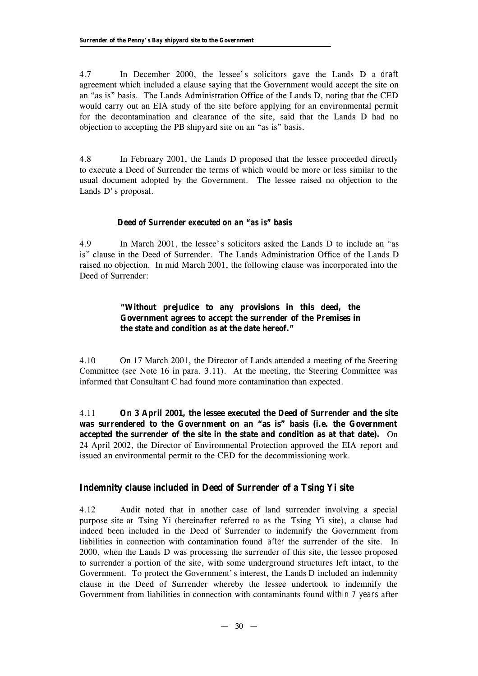4.7 In December 2000, the lessee's solicitors gave the Lands D a *draft* agreement which included a clause saying that the Government would accept the site on an "as is" basis. The Lands Administration Office of the Lands D, noting that the CED would carry out an EIA study of the site before applying for an environmental permit for the decontamination and clearance of the site, said that the Lands D had no objection to accepting the PB shipyard site on an "as is" basis.

4.8 In February 2001, the Lands D proposed that the lessee proceeded directly to execute a Deed of Surrender the terms of which would be more or less similar to the usual document adopted by the Government. The lessee raised no objection to the Lands D's proposal.

## *Deed of Surrender executed on an "as is" basis*

4.9 In March 2001, the lessee's solicitors asked the Lands D to include an "as is" clause in the Deed of Surrender. The Lands Administration Office of the Lands D raised no objection. In mid March 2001, the following clause was incorporated into the Deed of Surrender:

# **"Without prejudice to any provisions in this deed, the Government agrees to accept the surrender of the Premises in the state and condition as at the date hereof."**

4.10 On 17 March 2001, the Director of Lands attended a meeting of the Steering Committee (see Note 16 in para. 3.11). At the meeting, the Steering Committee was informed that Consultant C had found more contamination than expected.

4.11 **On 3 April 2001, the lessee executed the Deed of Surrender and the site was surrendered to the Government on an "as is" basis (i.e. the Government accepted the surrender of the site in the state and condition as at that date).** On 24 April 2002, the Director of Environmental Protection approved the EIA report and issued an environmental permit to the CED for the decommissioning work.

# **Indemnity clause included in Deed of Surrender of a Tsing Yi site**

4.12 Audit noted that in another case of land surrender involving a special purpose site at Tsing Yi (hereinafter referred to as the Tsing Yi site), a clause had indeed been included in the Deed of Surrender to indemnify the Government from liabilities in connection with contamination found *after* the surrender of the site. In 2000, when the Lands D was processing the surrender of this site, the lessee proposed to surrender a portion of the site, with some underground structures left intact, to the Government. To protect the Government's interest, the Lands D included an indemnity clause in the Deed of Surrender whereby the lessee undertook to indemnify the Government from liabilities in connection with contaminants found *within 7 years* after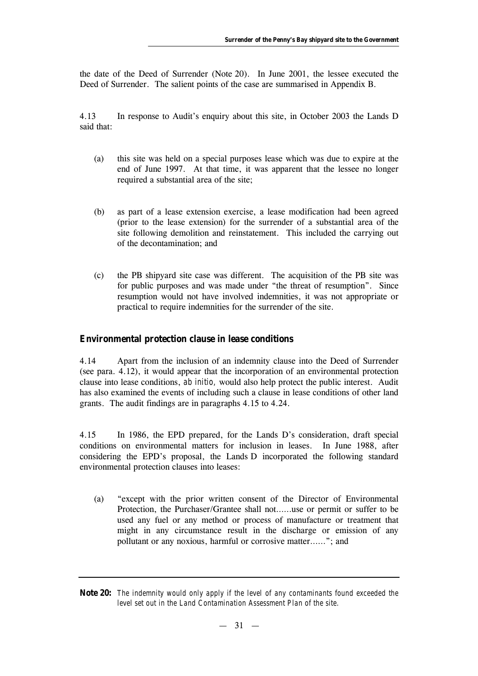the date of the Deed of Surrender (Note 20). In June 2001, the lessee executed the Deed of Surrender. The salient points of the case are summarised in Appendix B.

4.13 In response to Audit's enquiry about this site, in October 2003 the Lands D said that:

- (a) this site was held on a special purposes lease which was due to expire at the end of June 1997. At that time, it was apparent that the lessee no longer required a substantial area of the site;
- (b) as part of a lease extension exercise, a lease modification had been agreed (prior to the lease extension) for the surrender of a substantial area of the site following demolition and reinstatement. This included the carrying out of the decontamination; and
- (c) the PB shipyard site case was different. The acquisition of the PB site was for public purposes and was made under "the threat of resumption". Since resumption would not have involved indemnities, it was not appropriate or practical to require indemnities for the surrender of the site.

### **Environmental protection clause in lease conditions**

4.14 Apart from the inclusion of an indemnity clause into the Deed of Surrender (see para. 4.12), it would appear that the incorporation of an environmental protection clause into lease conditions, *ab initio,* would also help protect the public interest. Audit has also examined the events of including such a clause in lease conditions of other land grants. The audit findings are in paragraphs 4.15 to 4.24.

4.15 In 1986, the EPD prepared, for the Lands D's consideration, draft special conditions on environmental matters for inclusion in leases. In June 1988, after considering the EPD's proposal, the Lands D incorporated the following standard environmental protection clauses into leases:

(a) "except with the prior written consent of the Director of Environmental Protection, the Purchaser/Grantee shall not… … use or permit or suffer to be used any fuel or any method or process of manufacture or treatment that might in any circumstance result in the discharge or emission of any pollutant or any noxious, harmful or corrosive matter… … "; and

**Note 20:** *The indemnity would only apply if the level of any contaminants found exceeded the level set out in the Land Contamination Assessment Plan of the site.*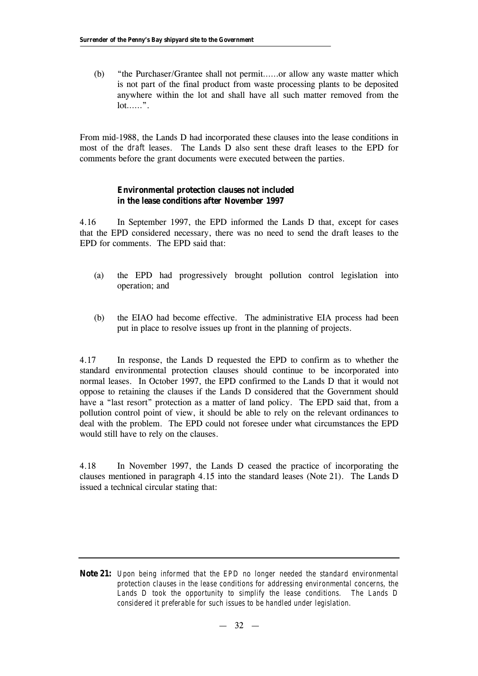(b) "the Purchaser/Grantee shall not permit… … or allow any waste matter which is not part of the final product from waste processing plants to be deposited anywhere within the lot and shall have all such matter removed from the  $lot..., "$ .

From mid-1988, the Lands D had incorporated these clauses into the lease conditions in most of the *draft* leases. The Lands D also sent these draft leases to the EPD for comments before the grant documents were executed between the parties.

## **Environmental protection clauses not included in the lease conditions after November 1997**

4.16 In September 1997, the EPD informed the Lands D that, except for cases that the EPD considered necessary, there was no need to send the draft leases to the EPD for comments. The EPD said that:

- (a) the EPD had progressively brought pollution control legislation into operation; and
- (b) the EIAO had become effective. The administrative EIA process had been put in place to resolve issues up front in the planning of projects.

4.17 In response, the Lands D requested the EPD to confirm as to whether the standard environmental protection clauses should continue to be incorporated into normal leases. In October 1997, the EPD confirmed to the Lands D that it would not oppose to retaining the clauses if the Lands D considered that the Government should have a "last resort" protection as a matter of land policy. The EPD said that, from a pollution control point of view, it should be able to rely on the relevant ordinances to deal with the problem. The EPD could not foresee under what circumstances the EPD would still have to rely on the clauses.

4.18 In November 1997, the Lands D ceased the practice of incorporating the clauses mentioned in paragraph 4.15 into the standard leases (Note 21). The Lands D issued a technical circular stating that:

**Note 21:** *Upon being informed that the EPD no longer needed the standard environmental protection clauses in the lease conditions for addressing environmental concerns, the Lands D took the opportunity to simplify the lease conditions. The Lands D considered it preferable for such issues to be handled under legislation.*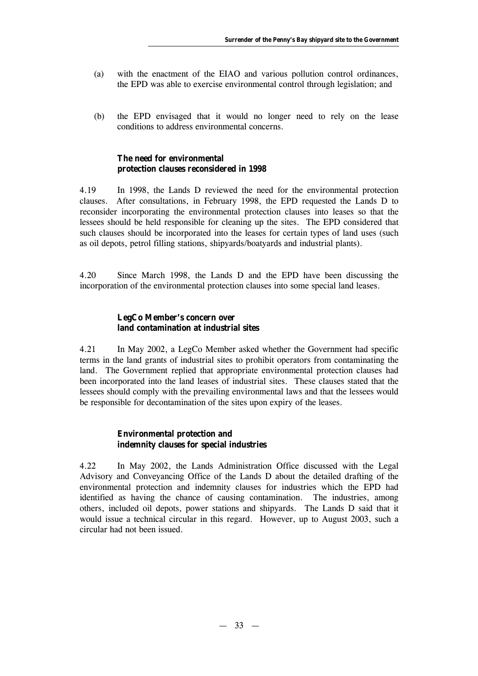- (a) with the enactment of the EIAO and various pollution control ordinances, the EPD was able to exercise environmental control through legislation; and
- (b) the EPD envisaged that it would no longer need to rely on the lease conditions to address environmental concerns.

# **The need for environmental protection clauses reconsidered in 1998**

4.19 In 1998, the Lands D reviewed the need for the environmental protection clauses. After consultations, in February 1998, the EPD requested the Lands D to reconsider incorporating the environmental protection clauses into leases so that the lessees should be held responsible for cleaning up the sites. The EPD considered that such clauses should be incorporated into the leases for certain types of land uses (such as oil depots, petrol filling stations, shipyards/boatyards and industrial plants).

4.20 Since March 1998, the Lands D and the EPD have been discussing the incorporation of the environmental protection clauses into some special land leases.

# **LegCo Member's concern over land contamination at industrial sites**

4.21 In May 2002, a LegCo Member asked whether the Government had specific terms in the land grants of industrial sites to prohibit operators from contaminating the land. The Government replied that appropriate environmental protection clauses had been incorporated into the land leases of industrial sites. These clauses stated that the lessees should comply with the prevailing environmental laws and that the lessees would be responsible for decontamination of the sites upon expiry of the leases.

## **Environmental protection and indemnity clauses for special industries**

4.22 In May 2002, the Lands Administration Office discussed with the Legal Advisory and Conveyancing Office of the Lands D about the detailed drafting of the environmental protection and indemnity clauses for industries which the EPD had identified as having the chance of causing contamination. The industries, among others, included oil depots, power stations and shipyards. The Lands D said that it would issue a technical circular in this regard. However, up to August 2003, such a circular had not been issued.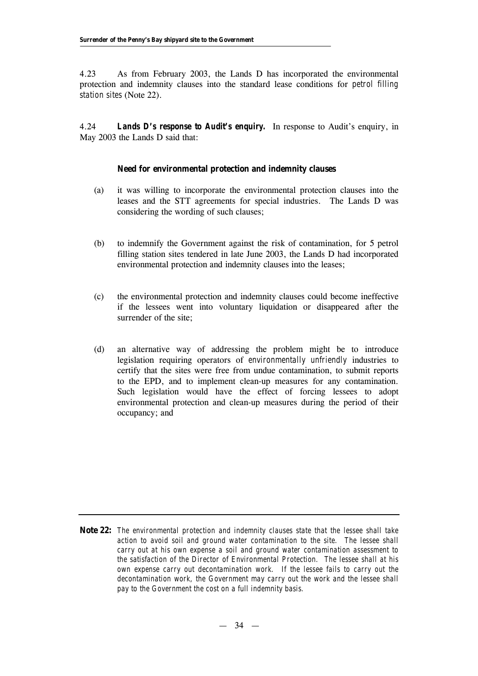4.23 As from February 2003, the Lands D has incorporated the environmental protection and indemnity clauses into the standard lease conditions for *petrol filling station sites* (Note 22).

4.24 *Lands D's response to Audit's enquiry.* In response to Audit's enquiry, in May 2003 the Lands D said that:

#### **Need for environmental protection and indemnity clauses**

- (a) it was willing to incorporate the environmental protection clauses into the leases and the STT agreements for special industries. The Lands D was considering the wording of such clauses;
- (b) to indemnify the Government against the risk of contamination, for 5 petrol filling station sites tendered in late June 2003, the Lands D had incorporated environmental protection and indemnity clauses into the leases;
- (c) the environmental protection and indemnity clauses could become ineffective if the lessees went into voluntary liquidation or disappeared after the surrender of the site;
- (d) an alternative way of addressing the problem might be to introduce legislation requiring operators of *environmentally unfriendly* industries to certify that the sites were free from undue contamination, to submit reports to the EPD, and to implement clean-up measures for any contamination. Such legislation would have the effect of forcing lessees to adopt environmental protection and clean-up measures during the period of their occupancy; and

**Note 22:** *The environmental protection and indemnity clauses state that the lessee shall take action to avoid soil and ground water contamination to the site. The lessee shall carry out at his own expense a soil and ground water contamination assessment to the satisfaction of the Director of Environmental Protection. The lessee shall at his own expense carry out decontamination work. If the lessee fails to carry out the decontamination work, the Government may carry out the work and the lessee shall pay to the Government the cost on a full indemnity basis.*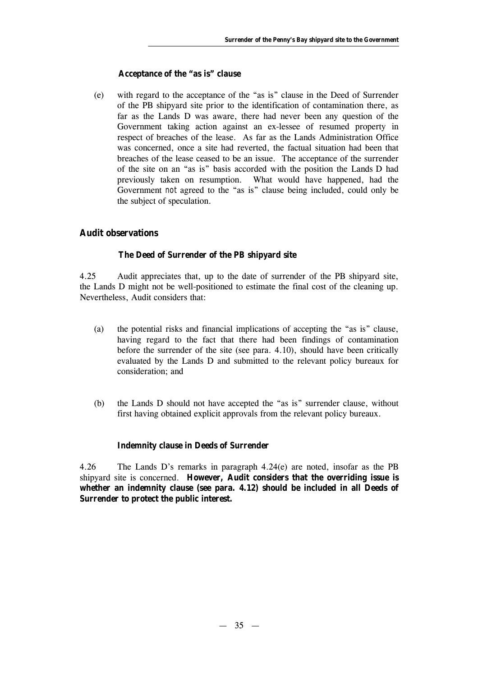## **Acceptance of the "as is" clause**

(e) with regard to the acceptance of the "as is" clause in the Deed of Surrender of the PB shipyard site prior to the identification of contamination there, as far as the Lands D was aware, there had never been any question of the Government taking action against an ex-lessee of resumed property in respect of breaches of the lease. As far as the Lands Administration Office was concerned, once a site had reverted, the factual situation had been that breaches of the lease ceased to be an issue. The acceptance of the surrender of the site on an "as is" basis accorded with the position the Lands D had previously taken on resumption. What would have happened, had the Government *not* agreed to the "as is" clause being included, could only be the subject of speculation.

# **Audit observations**

# **The Deed of Surrender of the PB shipyard site**

4.25 Audit appreciates that, up to the date of surrender of the PB shipyard site, the Lands D might not be well-positioned to estimate the final cost of the cleaning up. Nevertheless, Audit considers that:

- (a) the potential risks and financial implications of accepting the "as is" clause, having regard to the fact that there had been findings of contamination before the surrender of the site (see para. 4.10), should have been critically evaluated by the Lands D and submitted to the relevant policy bureaux for consideration; and
- (b) the Lands D should not have accepted the "as is" surrender clause, without first having obtained explicit approvals from the relevant policy bureaux.

# **Indemnity clause in Deeds of Surrender**

4.26 The Lands D's remarks in paragraph 4.24(e) are noted, insofar as the PB shipyard site is concerned. **However, Audit considers that the overriding issue is whether an indemnity clause (see para. 4.12) should be included in all Deeds of Surrender to protect the public interest.**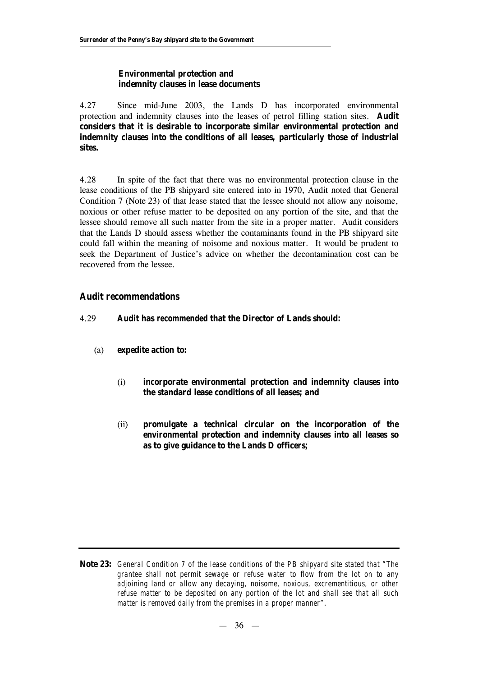#### **Environmental protection and indemnity clauses in lease documents**

4.27 Since mid-June 2003, the Lands D has incorporated environmental protection and indemnity clauses into the leases of petrol filling station sites. **Audit considers that it is desirable to incorporate similar environmental protection and indemnity clauses into the conditions of all leases, particularly those of industrial sites.**

4.28 In spite of the fact that there was no environmental protection clause in the lease conditions of the PB shipyard site entered into in 1970, Audit noted that General Condition 7 (Note 23) of that lease stated that the lessee should not allow any noisome, noxious or other refuse matter to be deposited on any portion of the site, and that the lessee should remove all such matter from the site in a proper matter. Audit considers that the Lands D should assess whether the contaminants found in the PB shipyard site could fall within the meaning of noisome and noxious matter. It would be prudent to seek the Department of Justice's advice on whether the decontamination cost can be recovered from the lessee.

## **Audit recommendations**

#### 4.29 **Audit has** *recommended* **that the Director of Lands should:**

- (a) **expedite action to:**
	- (i) **incorporate environmental protection and indemnity clauses into the standard lease conditions of all leases; and**
	- (ii) **promulgate a technical circular on the incorporation of the environmental protection and indemnity clauses into all leases so as to give guidance to the Lands D officers;**

**Note 23:** *General Condition 7 of the lease conditions of the PB shipyard site stated that "The grantee shall not permit sewage or refuse water to flow from the lot on to any adjoining land or allow any decaying, noisome, noxious, excrementitious, or other refuse matter to be deposited on any portion of the lot and shall see that all such matter is removed daily from the premises in a proper manner".*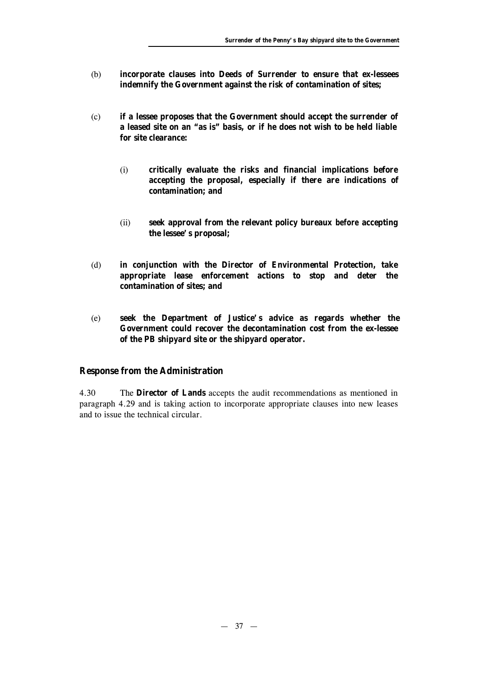- (b) **incorporate clauses into Deeds of Surrender to ensure that ex-lessees indemnify the Government against the risk of contamination of sites;**
- (c) **if a lessee proposes that the Government should accept the surrender of a leased site on an "as is" basis, or if he does not wish to be held liable for site clearance:**
	- (i) **critically evaluate the risks and financial implications before accepting the proposal, especially if there are indications of contamination; and**
	- (ii) **seek approval from the relevant policy bureaux** *before* **accepting the lessee's proposal;**
- (d) **in conjunction with the Director of Environmental Protection, take appropriate lease enforcement actions to stop and deter the contamination of sites; and**
- (e) **seek the Department of Justice's advice as regards whether the Government could recover the decontamination cost from the ex-lessee of the PB shipyard site or the shipyard operator.**

## **Response from the Administration**

4.30 The **Director of Lands** accepts the audit recommendations as mentioned in paragraph 4.29 and is taking action to incorporate appropriate clauses into new leases and to issue the technical circular.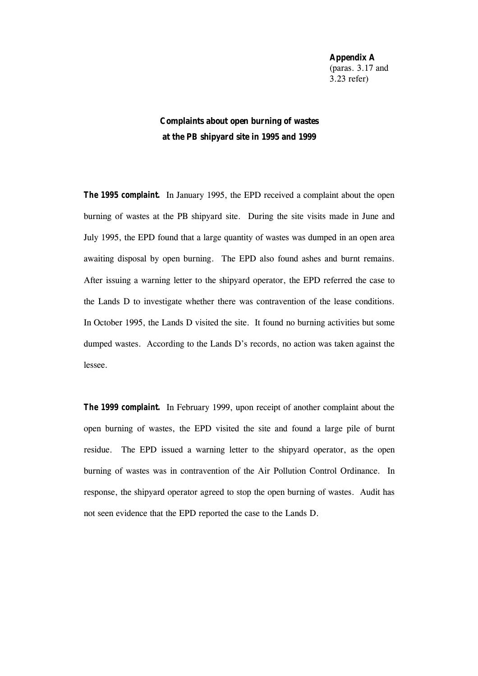**Appendix A** (paras. 3.17 and 3.23 refer)

# **Complaints about open burning of wastes at the PB shipyard site in 1995 and 1999**

**The 1995 complaint.** In January 1995, the EPD received a complaint about the open burning of wastes at the PB shipyard site. During the site visits made in June and July 1995, the EPD found that a large quantity of wastes was dumped in an open area awaiting disposal by open burning. The EPD also found ashes and burnt remains. After issuing a warning letter to the shipyard operator, the EPD referred the case to the Lands D to investigate whether there was contravention of the lease conditions. In October 1995, the Lands D visited the site. It found no burning activities but some dumped wastes. According to the Lands D's records, no action was taken against the lessee.

*The 1999 complaint.* In February 1999, upon receipt of another complaint about the open burning of wastes, the EPD visited the site and found a large pile of burnt residue. The EPD issued a warning letter to the shipyard operator, as the open burning of wastes was in contravention of the Air Pollution Control Ordinance. In response, the shipyard operator agreed to stop the open burning of wastes. Audit has not seen evidence that the EPD reported the case to the Lands D.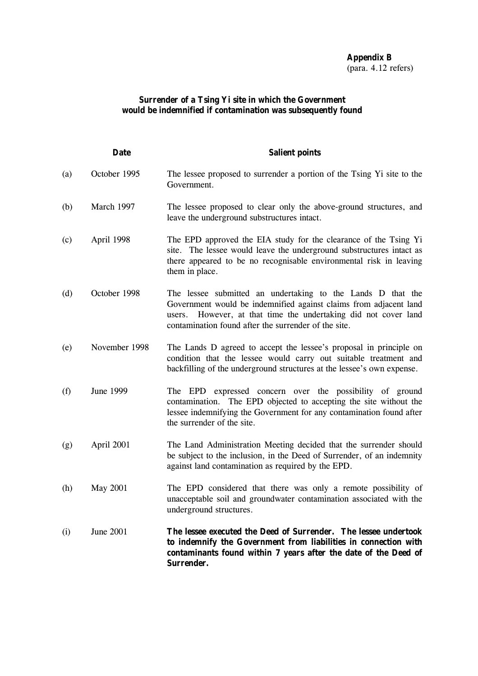# **Appendix B** (para. 4.12 refers)

## **Surrender of a Tsing Yi site in which the Government would be indemnified if contamination was subsequently found**

|                   | <b>Date</b>   | <b>Salient points</b>                                                                                                                                                                                                                                          |
|-------------------|---------------|----------------------------------------------------------------------------------------------------------------------------------------------------------------------------------------------------------------------------------------------------------------|
| $\left( a\right)$ | October 1995  | The lessee proposed to surrender a portion of the Tsing Yi site to the<br>Government.                                                                                                                                                                          |
| (b)               | March 1997    | The lessee proposed to clear only the above-ground structures, and<br>leave the underground substructures intact.                                                                                                                                              |
| (c)               | April 1998    | The EPD approved the EIA study for the clearance of the Tsing Yi<br>site. The lessee would leave the underground substructures intact as<br>there appeared to be no recognisable environmental risk in leaving<br>them in place.                               |
| (d)               | October 1998  | The lessee submitted an undertaking to the Lands D that the<br>Government would be indemnified against claims from adjacent land<br>However, at that time the undertaking did not cover land<br>users.<br>contamination found after the surrender of the site. |
| (e)               | November 1998 | The Lands D agreed to accept the lessee's proposal in principle on<br>condition that the lessee would carry out suitable treatment and<br>backfilling of the underground structures at the lessee's own expense.                                               |
| (f)               | June 1999     | The EPD expressed concern over the possibility of ground<br>contamination. The EPD objected to accepting the site without the<br>lessee indemnifying the Government for any contamination found after<br>the surrender of the site.                            |
| (g)               | April 2001    | The Land Administration Meeting decided that the surrender should<br>be subject to the inclusion, in the Deed of Surrender, of an indemnity<br>against land contamination as required by the EPD.                                                              |
| (h)               | May 2001      | The EPD considered that there was only a remote possibility of<br>unacceptable soil and groundwater contamination associated with the<br>underground structures.                                                                                               |
| (i)               | June 2001     | The lessee executed the Deed of Surrender. The lessee undertook<br>to indemnify the Government from liabilities in connection with<br>contaminants found within 7 years after the date of the Deed of<br>Surrender.                                            |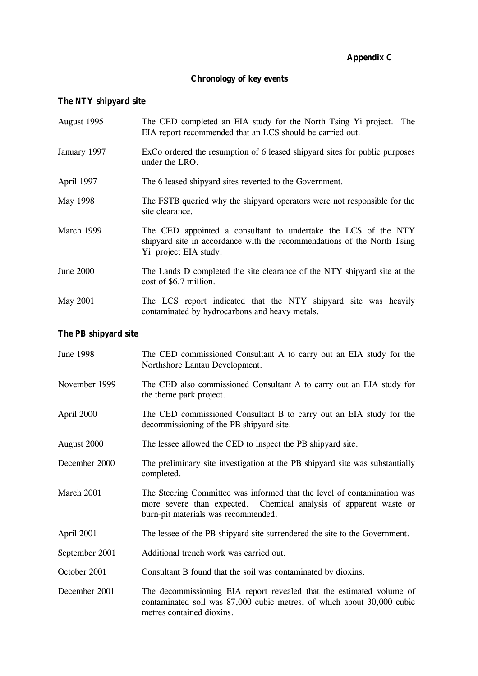# **Appendix C**

# **Chronology of key events**

# **The NTY shipyard site**

| August 1995  | The CED completed an EIA study for the North Tsing Yi project. The<br>EIA report recommended that an LCS should be carried out.                                    |
|--------------|--------------------------------------------------------------------------------------------------------------------------------------------------------------------|
| January 1997 | ExCo ordered the resumption of 6 leased shipyard sites for public purposes<br>under the LRO.                                                                       |
| April 1997   | The 6 leased ship and sites reverted to the Government.                                                                                                            |
| May 1998     | The FSTB queried why the shipyard operators were not responsible for the<br>site clearance.                                                                        |
| March 1999   | The CED appointed a consultant to undertake the LCS of the NTY<br>shipyard site in accordance with the recommendations of the North Tsing<br>Yi project EIA study. |
| June $2000$  | The Lands D completed the site clearance of the NTY shipyard site at the<br>cost of \$6.7 million.                                                                 |
| May 2001     | The LCS report indicated that the NTY shipyard site was heavily<br>contaminated by hydrocarbons and heavy metals.                                                  |

# **The PB shipyard site**

| <b>June 1998</b> | The CED commissioned Consultant A to carry out an EIA study for the<br>Northshore Lantau Development.                                                                               |
|------------------|-------------------------------------------------------------------------------------------------------------------------------------------------------------------------------------|
| November 1999    | The CED also commissioned Consultant A to carry out an EIA study for<br>the theme park project.                                                                                     |
| April 2000       | The CED commissioned Consultant B to carry out an EIA study for the<br>decommissioning of the PB shipyard site.                                                                     |
| August 2000      | The lessee allowed the CED to inspect the PB shipyard site.                                                                                                                         |
| December 2000    | The preliminary site investigation at the PB shipyard site was substantially<br>completed.                                                                                          |
| March 2001       | The Steering Committee was informed that the level of contamination was<br>more severe than expected. Chemical analysis of apparent waste or<br>burn-pit materials was recommended. |
| April 2001       | The lessee of the PB shipyard site surrendered the site to the Government.                                                                                                          |
| September 2001   | Additional trench work was carried out.                                                                                                                                             |
| October 2001     | Consultant B found that the soil was contaminated by dioxins.                                                                                                                       |
| December 2001    | The decommissioning EIA report revealed that the estimated volume of<br>contaminated soil was 87,000 cubic metres, of which about 30,000 cubic<br>metres contained dioxins.         |